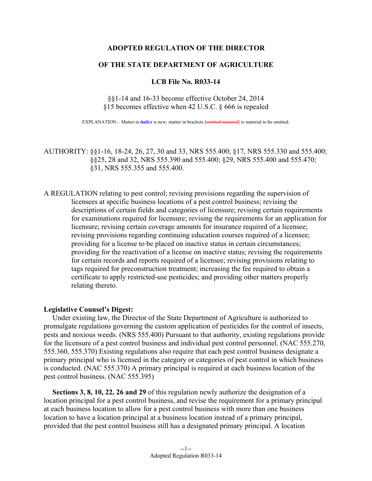## **ADOPTED REGULATION OF THE DIRECTOR**

## **OF THE STATE DEPARTMENT OF AGRICULTURE**

## **LCB File No. R033-14**

# §§1-14 and 16-33 become effective October 24, 2014 §15 becomes effective when 42 U.S.C. § 666 is repealed

EXPLANATION – Matter in *italics* is new; matter in brackets **[**omitted material**]** is material to be omitted.

# AUTHORITY: §§1-16, 18-24, 26, 27, 30 and 33, NRS 555.400; §17, NRS 555.330 and 555.400; §§25, 28 and 32, NRS 555.390 and 555.400; §29, NRS 555.400 and 555.470; §31, NRS 555.355 and 555.400.

A REGULATION relating to pest control; revising provisions regarding the supervision of licensees at specific business locations of a pest control business; revising the descriptions of certain fields and categories of licensure; revising certain requirements for examinations required for licensure; revising the requirements for an application for licensure; revising certain coverage amounts for insurance required of a licensee; revising provisions regarding continuing education courses required of a licensee; providing for a license to be placed on inactive status in certain circumstances; providing for the reactivation of a license on inactive status; revising the requirements for certain records and reports required of a licensee; revising provisions relating to tags required for preconstruction treatment; increasing the fee required to obtain a certificate to apply restricted-use pesticides; and providing other matters properly relating thereto.

## **Legislative Counsel's Digest:**

 Under existing law, the Director of the State Department of Agriculture is authorized to promulgate regulations governing the custom application of pesticides for the control of insects, pests and noxious weeds. (NRS 555.400) Pursuant to that authority, existing regulations provide for the licensure of a pest control business and individual pest control personnel. (NAC 555.270, 555.360, 555.370) Existing regulations also require that each pest control business designate a primary principal who is licensed in the category or categories of pest control in which business is conducted. (NAC 555.370) A primary principal is required at each business location of the pest control business. (NAC 555.395)

**Sections 3, 8, 10, 22, 26 and 29** of this regulation newly authorize the designation of a location principal for a pest control business, and revise the requirement for a primary principal at each business location to allow for a pest control business with more than one business location to have a location principal at a business location instead of a primary principal, provided that the pest control business still has a designated primary principal. A location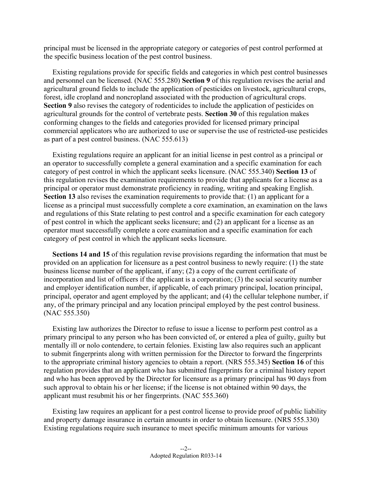principal must be licensed in the appropriate category or categories of pest control performed at the specific business location of the pest control business.

 Existing regulations provide for specific fields and categories in which pest control businesses and personnel can be licensed. (NAC 555.280) **Section 9** of this regulation revises the aerial and agricultural ground fields to include the application of pesticides on livestock, agricultural crops, forest, idle cropland and noncropland associated with the production of agricultural crops. **Section 9** also revises the category of rodenticides to include the application of pesticides on agricultural grounds for the control of vertebrate pests. **Section 30** of this regulation makes conforming changes to the fields and categories provided for licensed primary principal commercial applicators who are authorized to use or supervise the use of restricted-use pesticides as part of a pest control business. (NAC 555.613)

 Existing regulations require an applicant for an initial license in pest control as a principal or an operator to successfully complete a general examination and a specific examination for each category of pest control in which the applicant seeks licensure. (NAC 555.340) **Section 13** of this regulation revises the examination requirements to provide that applicants for a license as a principal or operator must demonstrate proficiency in reading, writing and speaking English. **Section 13** also revises the examination requirements to provide that: (1) an applicant for a license as a principal must successfully complete a core examination, an examination on the laws and regulations of this State relating to pest control and a specific examination for each category of pest control in which the applicant seeks licensure; and (2) an applicant for a license as an operator must successfully complete a core examination and a specific examination for each category of pest control in which the applicant seeks licensure.

**Sections 14 and 15** of this regulation revise provisions regarding the information that must be provided on an application for licensure as a pest control business to newly require: (1) the state business license number of the applicant, if any; (2) a copy of the current certificate of incorporation and list of officers if the applicant is a corporation; (3) the social security number and employer identification number, if applicable, of each primary principal, location principal, principal, operator and agent employed by the applicant; and (4) the cellular telephone number, if any, of the primary principal and any location principal employed by the pest control business. (NAC 555.350)

 Existing law authorizes the Director to refuse to issue a license to perform pest control as a primary principal to any person who has been convicted of, or entered a plea of guilty, guilty but mentally ill or nolo contendere, to certain felonies. Existing law also requires such an applicant to submit fingerprints along with written permission for the Director to forward the fingerprints to the appropriate criminal history agencies to obtain a report. (NRS 555.345) **Section 16** of this regulation provides that an applicant who has submitted fingerprints for a criminal history report and who has been approved by the Director for licensure as a primary principal has 90 days from such approval to obtain his or her license; if the license is not obtained within 90 days, the applicant must resubmit his or her fingerprints. (NAC 555.360)

 Existing law requires an applicant for a pest control license to provide proof of public liability and property damage insurance in certain amounts in order to obtain licensure. (NRS 555.330) Existing regulations require such insurance to meet specific minimum amounts for various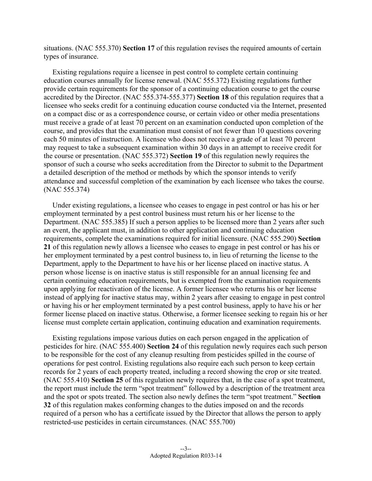situations. (NAC 555.370) **Section 17** of this regulation revises the required amounts of certain types of insurance.

 Existing regulations require a licensee in pest control to complete certain continuing education courses annually for license renewal. (NAC 555.372) Existing regulations further provide certain requirements for the sponsor of a continuing education course to get the course accredited by the Director. (NAC 555.374-555.377) **Section 18** of this regulation requires that a licensee who seeks credit for a continuing education course conducted via the Internet, presented on a compact disc or as a correspondence course, or certain video or other media presentations must receive a grade of at least 70 percent on an examination conducted upon completion of the course, and provides that the examination must consist of not fewer than 10 questions covering each 50 minutes of instruction. A licensee who does not receive a grade of at least 70 percent may request to take a subsequent examination within 30 days in an attempt to receive credit for the course or presentation. (NAC 555.372) **Section 19** of this regulation newly requires the sponsor of such a course who seeks accreditation from the Director to submit to the Department a detailed description of the method or methods by which the sponsor intends to verify attendance and successful completion of the examination by each licensee who takes the course. (NAC 555.374)

 Under existing regulations, a licensee who ceases to engage in pest control or has his or her employment terminated by a pest control business must return his or her license to the Department. (NAC 555.385) If such a person applies to be licensed more than 2 years after such an event, the applicant must, in addition to other application and continuing education requirements, complete the examinations required for initial licensure. (NAC 555.290) **Section 21** of this regulation newly allows a licensee who ceases to engage in pest control or has his or her employment terminated by a pest control business to, in lieu of returning the license to the Department, apply to the Department to have his or her license placed on inactive status. A person whose license is on inactive status is still responsible for an annual licensing fee and certain continuing education requirements, but is exempted from the examination requirements upon applying for reactivation of the license. A former licensee who returns his or her license instead of applying for inactive status may, within 2 years after ceasing to engage in pest control or having his or her employment terminated by a pest control business, apply to have his or her former license placed on inactive status. Otherwise, a former licensee seeking to regain his or her license must complete certain application, continuing education and examination requirements.

 Existing regulations impose various duties on each person engaged in the application of pesticides for hire. (NAC 555.400) **Section 24** of this regulation newly requires each such person to be responsible for the cost of any cleanup resulting from pesticides spilled in the course of operations for pest control. Existing regulations also require each such person to keep certain records for 2 years of each property treated, including a record showing the crop or site treated. (NAC 555.410) **Section 25** of this regulation newly requires that, in the case of a spot treatment, the report must include the term "spot treatment" followed by a description of the treatment area and the spot or spots treated. The section also newly defines the term "spot treatment." **Section 32** of this regulation makes conforming changes to the duties imposed on and the records required of a person who has a certificate issued by the Director that allows the person to apply restricted-use pesticides in certain circumstances. (NAC 555.700)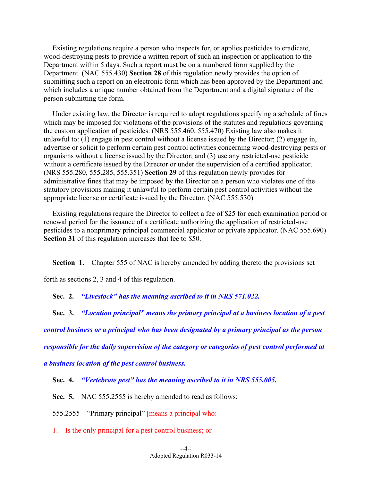Existing regulations require a person who inspects for, or applies pesticides to eradicate, wood-destroying pests to provide a written report of such an inspection or application to the Department within 5 days. Such a report must be on a numbered form supplied by the Department. (NAC 555.430) **Section 28** of this regulation newly provides the option of submitting such a report on an electronic form which has been approved by the Department and which includes a unique number obtained from the Department and a digital signature of the person submitting the form.

 Under existing law, the Director is required to adopt regulations specifying a schedule of fines which may be imposed for violations of the provisions of the statutes and regulations governing the custom application of pesticides. (NRS 555.460, 555.470) Existing law also makes it unlawful to: (1) engage in pest control without a license issued by the Director; (2) engage in, advertise or solicit to perform certain pest control activities concerning wood-destroying pests or organisms without a license issued by the Director; and (3) use any restricted-use pesticide without a certificate issued by the Director or under the supervision of a certified applicator. (NRS 555.280, 555.285, 555.351) **Section 29** of this regulation newly provides for administrative fines that may be imposed by the Director on a person who violates one of the statutory provisions making it unlawful to perform certain pest control activities without the appropriate license or certificate issued by the Director. (NAC 555.530)

 Existing regulations require the Director to collect a fee of \$25 for each examination period or renewal period for the issuance of a certificate authorizing the application of restricted-use pesticides to a nonprimary principal commercial applicator or private applicator. (NAC 555.690) **Section 31** of this regulation increases that fee to \$50.

**Section 1.** Chapter 555 of NAC is hereby amended by adding thereto the provisions set

forth as sections 2, 3 and 4 of this regulation.

 **Sec. 2.** *"Livestock" has the meaning ascribed to it in NRS 571.022.* 

 **Sec. 3.** *"Location principal" means the primary principal at a business location of a pest* 

*control business or a principal who has been designated by a primary principal as the person* 

*responsible for the daily supervision of the category or categories of pest control performed at* 

*a business location of the pest control business.* 

 **Sec. 4.** *"Vertebrate pest" has the meaning ascribed to it in NRS 555.005.* 

**Sec. 5.** NAC 555.2555 is hereby amended to read as follows:

555.2555 "Primary principal" **[**means a principal who:

1. Is the only principal for a pest control business; or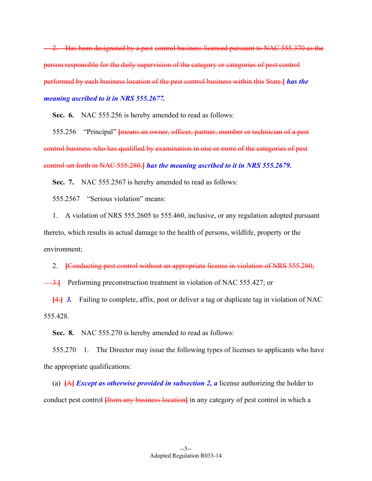<sup>2</sup>. Has been designated by a pest control business licensed pursuant to NAC 555.370 as the person responsible for the daily supervision of the category or categories of pest control performed by each business location of the pest control business within this State.**]** *has the meaning ascribed to it in NRS 555.2677.* 

 **Sec. 6.** NAC 555.256 is hereby amended to read as follows:

 555.256 "Principal" **[**means an owner, officer, partner, member or technician of a pest control business who has qualified by examination in one or more of the categories of pest control set forth in NAC 555.280.**]** *has the meaning ascribed to it in NRS 555.2679.* 

**Sec. 7.** NAC 555.2567 is hereby amended to read as follows:

555.2567 "Serious violation" means:

 1. A violation of NRS 555.2605 to 555.460, inclusive, or any regulation adopted pursuant thereto, which results in actual damage to the health of persons, wildlife, property or the environment;

2. **[**Conducting pest control without an appropriate license in violation of NRS 555.280;

3.<sup>1</sup> Performing preconstruction treatment in violation of NAC 555.427; or

**[**4.**]** *3.* Failing to complete, affix, post or deliver a tag or duplicate tag in violation of NAC 555.428.

 **Sec. 8.** NAC 555.270 is hereby amended to read as follows:

 555.270 1. The Director may issue the following types of licenses to applicants who have the appropriate qualifications:

 (a) **[**A**]** *Except as otherwise provided in subsection 2, a* license authorizing the holder to conduct pest control **[from any business location]** in any category of pest control in which a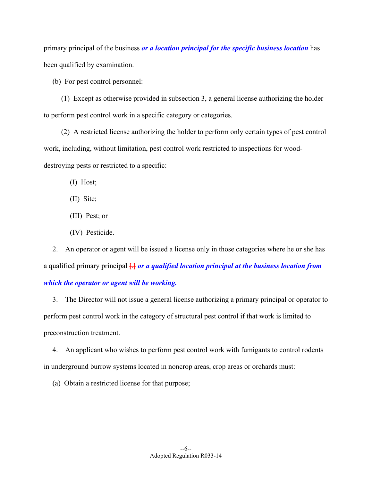primary principal of the business *or a location principal for the specific business location* has been qualified by examination.

(b) For pest control personnel:

 (1) Except as otherwise provided in subsection 3, a general license authorizing the holder to perform pest control work in a specific category or categories.

 (2) A restricted license authorizing the holder to perform only certain types of pest control work, including, without limitation, pest control work restricted to inspections for wooddestroying pests or restricted to a specific:

(I) Host;

(II) Site;

- (III) Pest; or
- (IV) Pesticide.

 2. An operator or agent will be issued a license only in those categories where he or she has a qualified primary principal **[**.**]** *or a qualified location principal at the business location from which the operator or agent will be working.*

 3. The Director will not issue a general license authorizing a primary principal or operator to perform pest control work in the category of structural pest control if that work is limited to preconstruction treatment.

 4. An applicant who wishes to perform pest control work with fumigants to control rodents in underground burrow systems located in noncrop areas, crop areas or orchards must:

(a) Obtain a restricted license for that purpose;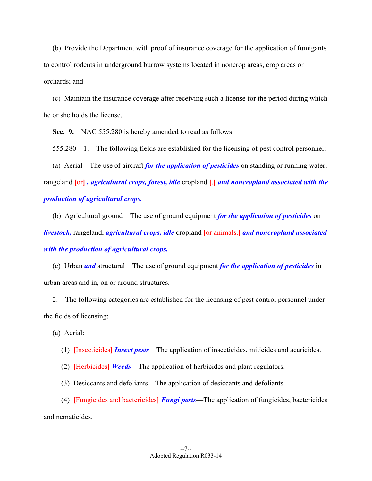(b) Provide the Department with proof of insurance coverage for the application of fumigants to control rodents in underground burrow systems located in noncrop areas, crop areas or orchards; and

 (c) Maintain the insurance coverage after receiving such a license for the period during which he or she holds the license.

 **Sec. 9.** NAC 555.280 is hereby amended to read as follows:

555.280 1. The following fields are established for the licensing of pest control personnel:

 (a) Aerial—The use of aircraft *for the application of pesticides* on standing or running water, rangeland **[**or**]** *, agricultural crops, forest, idle* cropland **[**.**]** *and noncropland associated with the production of agricultural crops.*

 (b) Agricultural ground—The use of ground equipment *for the application of pesticides* on *livestock,* rangeland, *agricultural crops, idle* cropland **[**or animals.**]** *and noncropland associated with the production of agricultural crops.*

 (c) Urban *and* structural—The use of ground equipment *for the application of pesticides* in urban areas and in, on or around structures.

 2. The following categories are established for the licensing of pest control personnel under the fields of licensing:

(a) Aerial:

(1) **[**Insecticides**]** *Insect pests*—The application of insecticides, miticides and acaricides.

- (2) **[**Herbicides**]** *Weeds*—The application of herbicides and plant regulators.
- (3) Desiccants and defoliants—The application of desiccants and defoliants.

 (4) **[**Fungicides and bactericides**]** *Fungi pests*—The application of fungicides, bactericides and nematicides.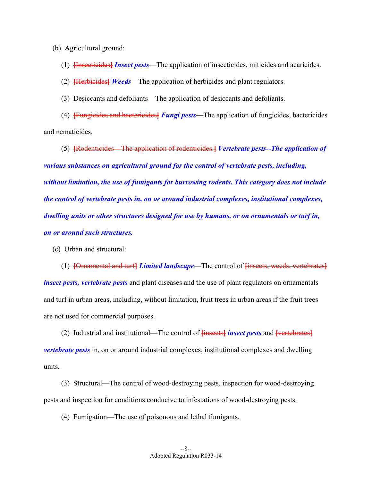(b) Agricultural ground:

(1) **[**Insecticides**]** *Insect pests*—The application of insecticides, miticides and acaricides.

(2) **[**Herbicides**]** *Weeds*—The application of herbicides and plant regulators.

(3) Desiccants and defoliants—The application of desiccants and defoliants.

 (4) **[**Fungicides and bactericides**]** *Fungi pests*—The application of fungicides, bactericides and nematicides.

 (5) **[**Rodenticides—The application of rodenticides.**]** *Vertebrate pests--The application of various substances on agricultural ground for the control of vertebrate pests, including, without limitation, the use of fumigants for burrowing rodents. This category does not include the control of vertebrate pests in, on or around industrial complexes, institutional complexes, dwelling units or other structures designed for use by humans, or on ornamentals or turf in, on or around such structures.*

(c) Urban and structural:

 (1) **[**Ornamental and turf**]** *Limited landscape*—The control of **[**insects, weeds, vertebrates**]** *insect pests, vertebrate pests* and plant diseases and the use of plant regulators on ornamentals and turf in urban areas, including, without limitation, fruit trees in urban areas if the fruit trees are not used for commercial purposes.

 (2) Industrial and institutional—The control of **[**insects**]** *insect pests* and **[**vertebrates**]** *vertebrate pests* in, on or around industrial complexes, institutional complexes and dwelling units.

 (3) Structural—The control of wood-destroying pests, inspection for wood-destroying pests and inspection for conditions conducive to infestations of wood-destroying pests.

(4) Fumigation—The use of poisonous and lethal fumigants.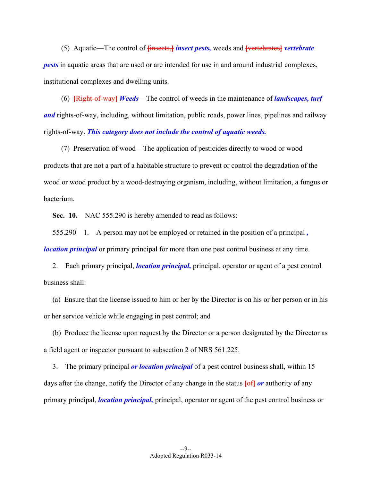(5) Aquatic—The control of **[**insects,**]** *insect pests,* weeds and **[**vertebrates**]** *vertebrate pests* in aquatic areas that are used or are intended for use in and around industrial complexes, institutional complexes and dwelling units.

 (6) **[**Right-of-way**]** *Weeds*—The control of weeds in the maintenance of *landscapes, turf and* rights-of-way, including, without limitation, public roads, power lines, pipelines and railway rights-of-way. *This category does not include the control of aquatic weeds.*

 (7) Preservation of wood—The application of pesticides directly to wood or wood products that are not a part of a habitable structure to prevent or control the degradation of the wood or wood product by a wood-destroying organism, including, without limitation, a fungus or bacterium.

 **Sec. 10.** NAC 555.290 is hereby amended to read as follows:

 555.290 1. A person may not be employed or retained in the position of a principal *, location principal* or primary principal for more than one pest control business at any time.

 2. Each primary principal, *location principal,* principal, operator or agent of a pest control business shall:

 (a) Ensure that the license issued to him or her by the Director is on his or her person or in his or her service vehicle while engaging in pest control; and

 (b) Produce the license upon request by the Director or a person designated by the Director as a field agent or inspector pursuant to subsection 2 of NRS 561.225.

 3. The primary principal *or location principal* of a pest control business shall, within 15 days after the change, notify the Director of any change in the status **[**of**]** *or* authority of any primary principal, *location principal,* principal, operator or agent of the pest control business or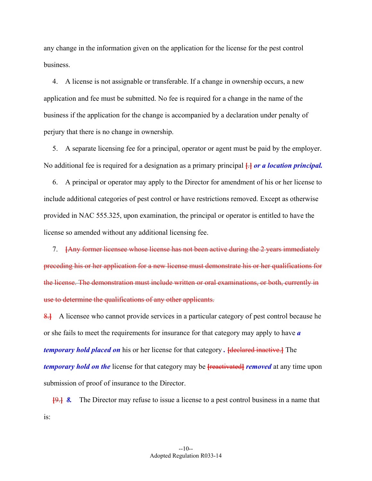any change in the information given on the application for the license for the pest control business.

 4. A license is not assignable or transferable. If a change in ownership occurs, a new application and fee must be submitted. No fee is required for a change in the name of the business if the application for the change is accompanied by a declaration under penalty of perjury that there is no change in ownership.

 5. A separate licensing fee for a principal, operator or agent must be paid by the employer. No additional fee is required for a designation as a primary principal **[**.**]** *or a location principal.*

 6. A principal or operator may apply to the Director for amendment of his or her license to include additional categories of pest control or have restrictions removed. Except as otherwise provided in NAC 555.325, upon examination, the principal or operator is entitled to have the license so amended without any additional licensing fee.

 7. **[**Any former licensee whose license has not been active during the 2 years immediately preceding his or her application for a new license must demonstrate his or her qualifications for the license. The demonstration must include written or oral examinations, or both, currently in use to determine the qualifications of any other applicants.

8.<sup>1</sup> A licensee who cannot provide services in a particular category of pest control because he or she fails to meet the requirements for insurance for that category may apply to have *a temporary hold placed on* his or her license for that category *.* **[**declared inactive.**]** The *temporary hold on the* license for that category may be **[**reactivated**]** *removed* at any time upon submission of proof of insurance to the Director.

**[**9.**]** *8.* The Director may refuse to issue a license to a pest control business in a name that is: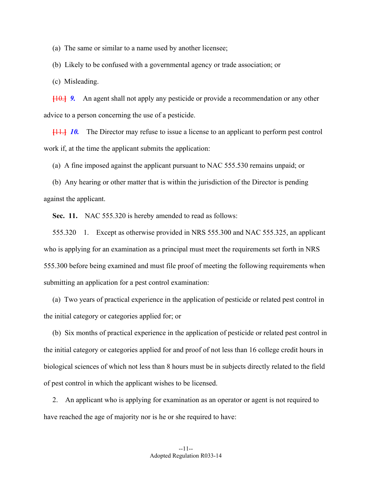(a) The same or similar to a name used by another licensee;

(b) Likely to be confused with a governmental agency or trade association; or

(c) Misleading.

**[**10.**]** *9.* An agent shall not apply any pesticide or provide a recommendation or any other advice to a person concerning the use of a pesticide.

**[**11.**]** *10.* The Director may refuse to issue a license to an applicant to perform pest control work if, at the time the applicant submits the application:

(a) A fine imposed against the applicant pursuant to NAC 555.530 remains unpaid; or

 (b) Any hearing or other matter that is within the jurisdiction of the Director is pending against the applicant.

**Sec. 11.** NAC 555.320 is hereby amended to read as follows:

 555.320 1. Except as otherwise provided in NRS 555.300 and NAC 555.325, an applicant who is applying for an examination as a principal must meet the requirements set forth in NRS 555.300 before being examined and must file proof of meeting the following requirements when submitting an application for a pest control examination:

 (a) Two years of practical experience in the application of pesticide or related pest control in the initial category or categories applied for; or

 (b) Six months of practical experience in the application of pesticide or related pest control in the initial category or categories applied for and proof of not less than 16 college credit hours in biological sciences of which not less than 8 hours must be in subjects directly related to the field of pest control in which the applicant wishes to be licensed.

 2. An applicant who is applying for examination as an operator or agent is not required to have reached the age of majority nor is he or she required to have: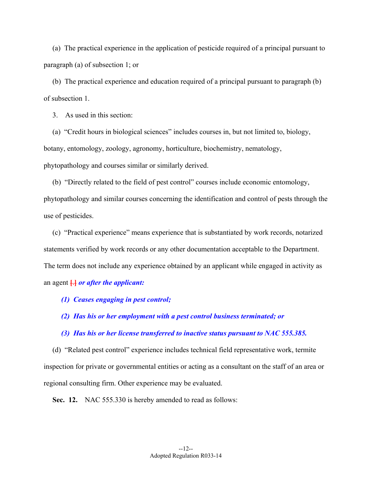(a) The practical experience in the application of pesticide required of a principal pursuant to paragraph (a) of subsection 1; or

 (b) The practical experience and education required of a principal pursuant to paragraph (b) of subsection 1.

3. As used in this section:

 (a) "Credit hours in biological sciences" includes courses in, but not limited to, biology, botany, entomology, zoology, agronomy, horticulture, biochemistry, nematology, phytopathology and courses similar or similarly derived.

 (b) "Directly related to the field of pest control" courses include economic entomology, phytopathology and similar courses concerning the identification and control of pests through the use of pesticides.

 (c) "Practical experience" means experience that is substantiated by work records, notarized statements verified by work records or any other documentation acceptable to the Department. The term does not include any experience obtained by an applicant while engaged in activity as an agent **[**.**]** *or after the applicant:* 

- *(1) Ceases engaging in pest control;*
- *(2) Has his or her employment with a pest control business terminated; or*

#### *(3) Has his or her license transferred to inactive status pursuant to NAC 555.385.*

 (d) "Related pest control" experience includes technical field representative work, termite inspection for private or governmental entities or acting as a consultant on the staff of an area or regional consulting firm. Other experience may be evaluated.

**Sec. 12.** NAC 555.330 is hereby amended to read as follows: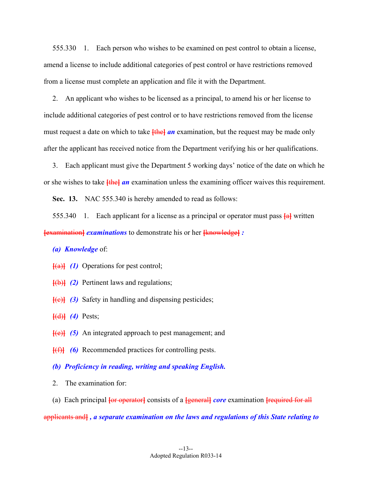555.330 1. Each person who wishes to be examined on pest control to obtain a license, amend a license to include additional categories of pest control or have restrictions removed from a license must complete an application and file it with the Department.

 2. An applicant who wishes to be licensed as a principal, to amend his or her license to include additional categories of pest control or to have restrictions removed from the license must request a date on which to take **[the]** *an* examination, but the request may be made only after the applicant has received notice from the Department verifying his or her qualifications.

 3. Each applicant must give the Department 5 working days' notice of the date on which he or she wishes to take **[**the**]** *an* examination unless the examining officer waives this requirement.

**Sec. 13.** NAC 555.340 is hereby amended to read as follows:

 555.340 1. Each applicant for a license as a principal or operator must pass **[**a**]** written **[**examination**]** *examinations* to demonstrate his or her **[**knowledge**]** *:* 

## *(a) Knowledge* of:

**[**(a)**]** *(1)* Operations for pest control;

- **[**(b)**]** *(2)* Pertinent laws and regulations;
- **[**(c)**]** *(3)* Safety in handling and dispensing pesticides;

**[**(d)**]** *(4)* Pests;

- **[**(e)**]** *(5)* An integrated approach to pest management; and
- **[**(f)**]** *(6)* Recommended practices for controlling pests.
- *(b) Proficiency in reading, writing and speaking English.*
- 2. The examination for:
- (a) Each principal **[**or operator**]** consists of a **[**general**]** *core* examination **[**required for all

applicants and**]** *, a separate examination on the laws and regulations of this State relating to*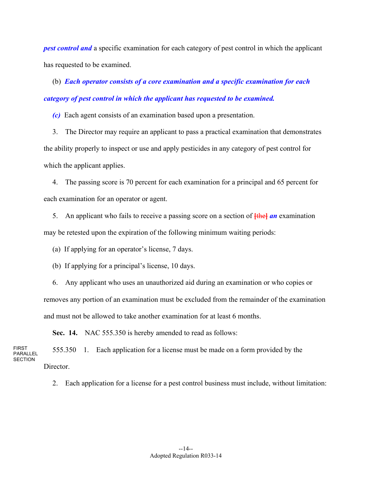*pest control and* a specific examination for each category of pest control in which the applicant has requested to be examined.

 (b) *Each operator consists of a core examination and a specific examination for each category of pest control in which the applicant has requested to be examined.* 

 *(c)* Each agent consists of an examination based upon a presentation.

 3. The Director may require an applicant to pass a practical examination that demonstrates the ability properly to inspect or use and apply pesticides in any category of pest control for which the applicant applies.

 4. The passing score is 70 percent for each examination for a principal and 65 percent for each examination for an operator or agent.

 5. An applicant who fails to receive a passing score on a section of **[**the**]** *an* examination may be retested upon the expiration of the following minimum waiting periods:

(a) If applying for an operator's license, 7 days.

(b) If applying for a principal's license, 10 days.

 6. Any applicant who uses an unauthorized aid during an examination or who copies or removes any portion of an examination must be excluded from the remainder of the examination and must not be allowed to take another examination for at least 6 months.

 **Sec. 14.** NAC 555.350 is hereby amended to read as follows:

FIRST PARALLEL **SECTION**  555.350 1. Each application for a license must be made on a form provided by the Director.

2. Each application for a license for a pest control business must include, without limitation: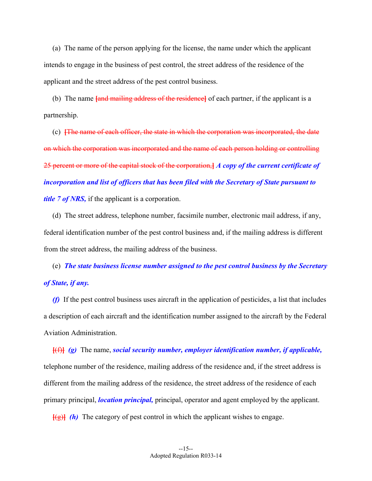(a) The name of the person applying for the license, the name under which the applicant intends to engage in the business of pest control, the street address of the residence of the applicant and the street address of the pest control business.

 (b) The name **[**and mailing address of the residence**]** of each partner, if the applicant is a partnership.

 (c) **[**The name of each officer, the state in which the corporation was incorporated, the date on which the corporation was incorporated and the name of each person holding or controlling 25 percent or more of the capital stock of the corporation,**]** *A copy of the current certificate of incorporation and list of officers that has been filed with the Secretary of State pursuant to title 7 of NRS,* if the applicant is a corporation.

 (d) The street address, telephone number, facsimile number, electronic mail address, if any, federal identification number of the pest control business and, if the mailing address is different from the street address, the mailing address of the business.

 (e) *The state business license number assigned to the pest control business by the Secretary of State, if any.* 

 *(f)* If the pest control business uses aircraft in the application of pesticides, a list that includes a description of each aircraft and the identification number assigned to the aircraft by the Federal Aviation Administration.

**[**(f)**]** *(g)* The name, *social security number, employer identification number, if applicable,* telephone number of the residence, mailing address of the residence and, if the street address is different from the mailing address of the residence, the street address of the residence of each primary principal, *location principal,* principal, operator and agent employed by the applicant.

**[**(g)**]** *(h)* The category of pest control in which the applicant wishes to engage.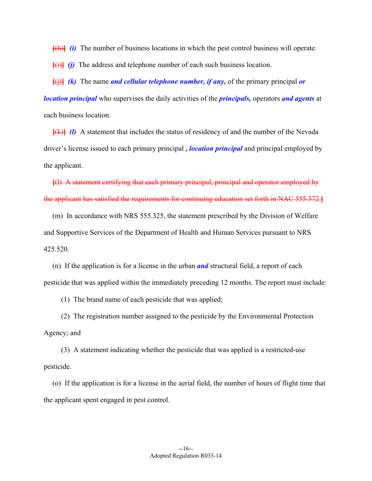**[**(h)**]** *(i)* The number of business locations in which the pest control business will operate.

**[**(i)**]** *(j)* The address and telephone number of each such business location.

**[**(j)**]** *(k)* The name *and cellular telephone number, if any,* of the primary principal *or location principal* who supervises the daily activities of the *principals,* operators *and agents* at each business location.

**[**(k)**]** *(l)* A statement that includes the status of residency of and the number of the Nevada driver's license issued to each primary principal *, location principal* and principal employed by the applicant.

**[**(l) A statement certifying that each primary principal, principal and operator employed by the applicant has satisfied the requirements for continuing education set forth in NAC 555.372.**]**

 (m) In accordance with NRS 555.325, the statement prescribed by the Division of Welfare and Supportive Services of the Department of Health and Human Services pursuant to NRS 425.520.

 (n) If the application is for a license in the urban *and* structural field, a report of each pesticide that was applied within the immediately preceding 12 months. The report must include:

(1) The brand name of each pesticide that was applied;

 (2) The registration number assigned to the pesticide by the Environmental Protection Agency; and

 (3) A statement indicating whether the pesticide that was applied is a restricted-use pesticide.

 (o) If the application is for a license in the aerial field, the number of hours of flight time that the applicant spent engaged in pest control.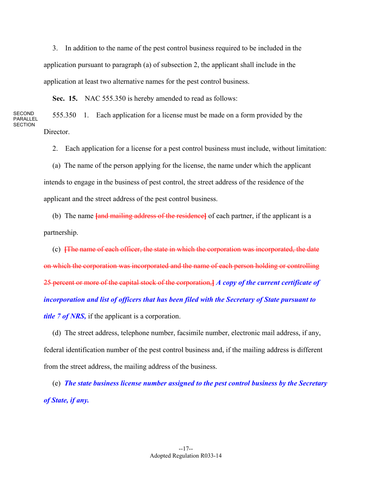3. In addition to the name of the pest control business required to be included in the application pursuant to paragraph (a) of subsection 2, the applicant shall include in the application at least two alternative names for the pest control business.

 **Sec. 15.** NAC 555.350 is hereby amended to read as follows:

**SECOND** PARALLEL **SECTION**  555.350 1. Each application for a license must be made on a form provided by the Director.

2. Each application for a license for a pest control business must include, without limitation:

 (a) The name of the person applying for the license, the name under which the applicant intends to engage in the business of pest control, the street address of the residence of the applicant and the street address of the pest control business.

 (b) The name **[**and mailing address of the residence**]** of each partner, if the applicant is a partnership.

 (c) **[**The name of each officer, the state in which the corporation was incorporated, the date on which the corporation was incorporated and the name of each person holding or controlling 25 percent or more of the capital stock of the corporation,**]** *A copy of the current certificate of incorporation and list of officers that has been filed with the Secretary of State pursuant to title 7 of NRS,* if the applicant is a corporation.

 (d) The street address, telephone number, facsimile number, electronic mail address, if any, federal identification number of the pest control business and, if the mailing address is different from the street address, the mailing address of the business.

 (e) *The state business license number assigned to the pest control business by the Secretary of State, if any.*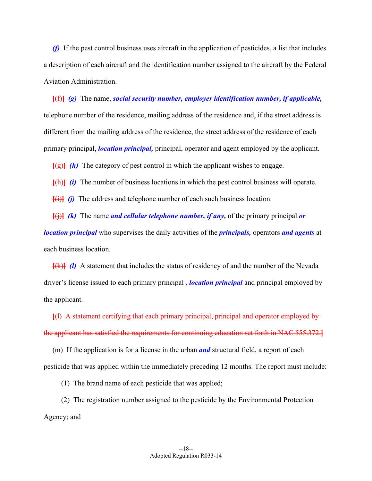*(f)* If the pest control business uses aircraft in the application of pesticides, a list that includes a description of each aircraft and the identification number assigned to the aircraft by the Federal Aviation Administration.

**[**(f)**]** *(g)* The name, *social security number, employer identification number, if applicable,*  telephone number of the residence, mailing address of the residence and, if the street address is different from the mailing address of the residence, the street address of the residence of each primary principal, *location principal,* principal, operator and agent employed by the applicant.

**[**(g)**]** *(h)* The category of pest control in which the applicant wishes to engage.

**[**(h)**]** *(i)* The number of business locations in which the pest control business will operate.

**[**(i)**]** *(j)* The address and telephone number of each such business location.

**[**(j)**]** *(k)* The name *and cellular telephone number, if any,* of the primary principal *or* 

*location principal* who supervises the daily activities of the *principals,* operators *and agents* at each business location.

**[**(k)**]** *(l)* A statement that includes the status of residency of and the number of the Nevada driver's license issued to each primary principal *, location principal* and principal employed by the applicant.

**[**(l) A statement certifying that each primary principal, principal and operator employed by the applicant has satisfied the requirements for continuing education set forth in NAC 555.372.**]**

 (m) If the application is for a license in the urban *and* structural field, a report of each pesticide that was applied within the immediately preceding 12 months. The report must include:

(1) The brand name of each pesticide that was applied;

 (2) The registration number assigned to the pesticide by the Environmental Protection Agency; and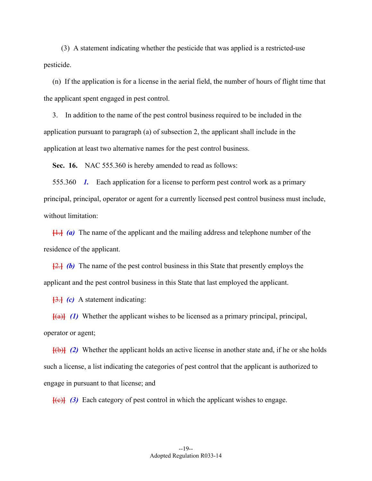(3) A statement indicating whether the pesticide that was applied is a restricted-use pesticide.

 (n) If the application is for a license in the aerial field, the number of hours of flight time that the applicant spent engaged in pest control.

 3. In addition to the name of the pest control business required to be included in the application pursuant to paragraph (a) of subsection 2, the applicant shall include in the application at least two alternative names for the pest control business.

 **Sec. 16.** NAC 555.360 is hereby amended to read as follows:

 555.360 *1.* Each application for a license to perform pest control work as a primary principal, principal, operator or agent for a currently licensed pest control business must include, without limitation:

**[**1.**]** *(a)* The name of the applicant and the mailing address and telephone number of the residence of the applicant.

**[**2.**]** *(b)* The name of the pest control business in this State that presently employs the applicant and the pest control business in this State that last employed the applicant.

**[**3.**]** *(c)* A statement indicating:

**[**(a)**]** *(1)* Whether the applicant wishes to be licensed as a primary principal, principal, operator or agent;

**[**(b)**]** *(2)* Whether the applicant holds an active license in another state and, if he or she holds such a license, a list indicating the categories of pest control that the applicant is authorized to engage in pursuant to that license; and

**[**(c)**]** *(3)* Each category of pest control in which the applicant wishes to engage.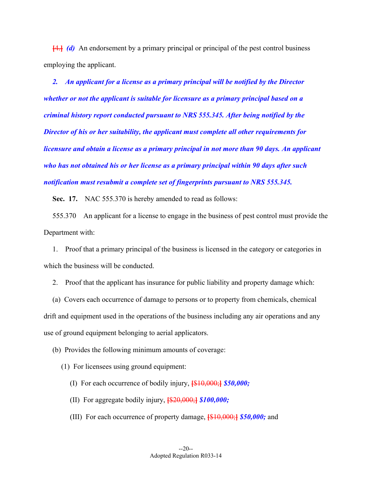**[**4.**]** *(d)* An endorsement by a primary principal or principal of the pest control business employing the applicant.

 *2. An applicant for a license as a primary principal will be notified by the Director whether or not the applicant is suitable for licensure as a primary principal based on a criminal history report conducted pursuant to NRS 555.345. After being notified by the Director of his or her suitability, the applicant must complete all other requirements for licensure and obtain a license as a primary principal in not more than 90 days. An applicant who has not obtained his or her license as a primary principal within 90 days after such notification must resubmit a complete set of fingerprints pursuant to NRS 555.345.* 

**Sec. 17.** NAC 555.370 is hereby amended to read as follows:

 555.370 An applicant for a license to engage in the business of pest control must provide the Department with:

 1. Proof that a primary principal of the business is licensed in the category or categories in which the business will be conducted.

2. Proof that the applicant has insurance for public liability and property damage which:

 (a) Covers each occurrence of damage to persons or to property from chemicals, chemical drift and equipment used in the operations of the business including any air operations and any use of ground equipment belonging to aerial applicators.

(b) Provides the following minimum amounts of coverage:

(1) For licensees using ground equipment:

(I) For each occurrence of bodily injury, **[**\$10,000;**]** *\$50,000;* 

- (II) For aggregate bodily injury, **[**\$20,000;**]** *\$100,000;*
- (III) For each occurrence of property damage, **[**\$10,000;**]** *\$50,000;* and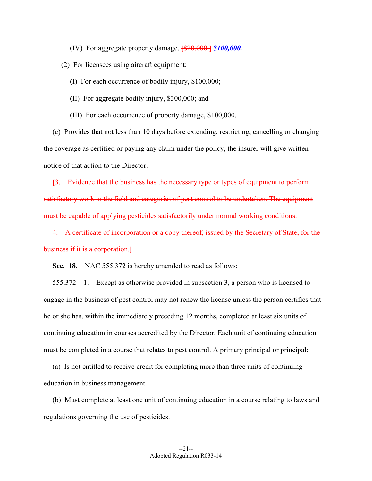(IV) For aggregate property damage, **[**\$20,000.**]** *\$100,000.* 

(2) For licensees using aircraft equipment:

(I) For each occurrence of bodily injury, \$100,000;

- (II) For aggregate bodily injury, \$300,000; and
- (III) For each occurrence of property damage, \$100,000.

 (c) Provides that not less than 10 days before extending, restricting, cancelling or changing the coverage as certified or paying any claim under the policy, the insurer will give written notice of that action to the Director.

**[**3. Evidence that the business has the necessary type or types of equipment to perform satisfactory work in the field and categories of pest control to be undertaken. The equipment must be capable of applying pesticides satisfactorily under normal working conditions. 4. A certificate of incorporation or a copy thereof, issued by the Secretary of State, for the

business if it is a corporation.**]** 

 **Sec. 18.** NAC 555.372 is hereby amended to read as follows:

 555.372 1. Except as otherwise provided in subsection 3, a person who is licensed to engage in the business of pest control may not renew the license unless the person certifies that he or she has, within the immediately preceding 12 months, completed at least six units of continuing education in courses accredited by the Director. Each unit of continuing education must be completed in a course that relates to pest control. A primary principal or principal:

 (a) Is not entitled to receive credit for completing more than three units of continuing education in business management.

 (b) Must complete at least one unit of continuing education in a course relating to laws and regulations governing the use of pesticides.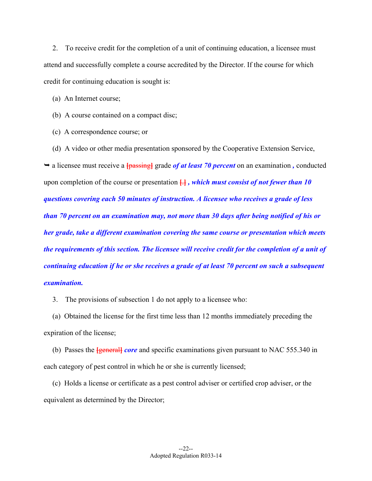2. To receive credit for the completion of a unit of continuing education, a licensee must attend and successfully complete a course accredited by the Director. If the course for which credit for continuing education is sought is:

(a) An Internet course;

(b) A course contained on a compact disc;

(c) A correspondence course; or

(d) A video or other media presentation sponsored by the Cooperative Extension Service,

• a licensee must receive a **{passing}** grade *of at least 70 percent* on an examination, conducted upon completion of the course or presentation **[**.**]** *, which must consist of not fewer than 10 questions covering each 50 minutes of instruction. A licensee who receives a grade of less than 70 percent on an examination may, not more than 30 days after being notified of his or her grade, take a different examination covering the same course or presentation which meets the requirements of this section. The licensee will receive credit for the completion of a unit of continuing education if he or she receives a grade of at least 70 percent on such a subsequent examination.*

3. The provisions of subsection 1 do not apply to a licensee who:

 (a) Obtained the license for the first time less than 12 months immediately preceding the expiration of the license;

 (b) Passes the **[**general**]** *core* and specific examinations given pursuant to NAC 555.340 in each category of pest control in which he or she is currently licensed;

 (c) Holds a license or certificate as a pest control adviser or certified crop adviser, or the equivalent as determined by the Director;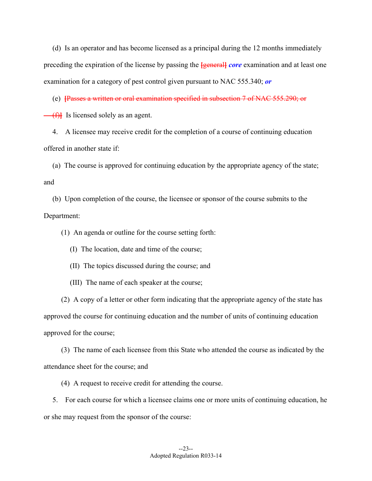(d) Is an operator and has become licensed as a principal during the 12 months immediately preceding the expiration of the license by passing the **[**general**]** *core* examination and at least one examination for a category of pest control given pursuant to NAC 555.340; *or*

(e) **[**Passes a written or oral examination specified in subsection 7 of NAC 555.290; or

(f) Is licensed solely as an agent.

 4. A licensee may receive credit for the completion of a course of continuing education offered in another state if:

 (a) The course is approved for continuing education by the appropriate agency of the state; and

 (b) Upon completion of the course, the licensee or sponsor of the course submits to the Department:

(1) An agenda or outline for the course setting forth:

(I) The location, date and time of the course;

(II) The topics discussed during the course; and

(III) The name of each speaker at the course;

 (2) A copy of a letter or other form indicating that the appropriate agency of the state has approved the course for continuing education and the number of units of continuing education approved for the course;

 (3) The name of each licensee from this State who attended the course as indicated by the attendance sheet for the course; and

(4) A request to receive credit for attending the course.

 5. For each course for which a licensee claims one or more units of continuing education, he or she may request from the sponsor of the course: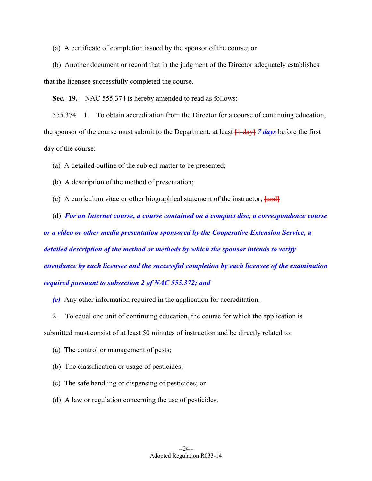(a) A certificate of completion issued by the sponsor of the course; or

 (b) Another document or record that in the judgment of the Director adequately establishes that the licensee successfully completed the course.

 **Sec. 19.** NAC 555.374 is hereby amended to read as follows:

 555.374 1. To obtain accreditation from the Director for a course of continuing education, the sponsor of the course must submit to the Department, at least **[**1 day**]** *7 days* before the first day of the course:

(a) A detailed outline of the subject matter to be presented;

(b) A description of the method of presentation;

(c) A curriculum vitae or other biographical statement of the instructor; **[**and**]**

 (d) *For an Internet course, a course contained on a compact disc, a correspondence course or a video or other media presentation sponsored by the Cooperative Extension Service, a detailed description of the method or methods by which the sponsor intends to verify attendance by each licensee and the successful completion by each licensee of the examination required pursuant to subsection 2 of NAC 555.372; and* 

 *(e)* Any other information required in the application for accreditation.

2. To equal one unit of continuing education, the course for which the application is

submitted must consist of at least 50 minutes of instruction and be directly related to:

(a) The control or management of pests;

(b) The classification or usage of pesticides;

(c) The safe handling or dispensing of pesticides; or

(d) A law or regulation concerning the use of pesticides.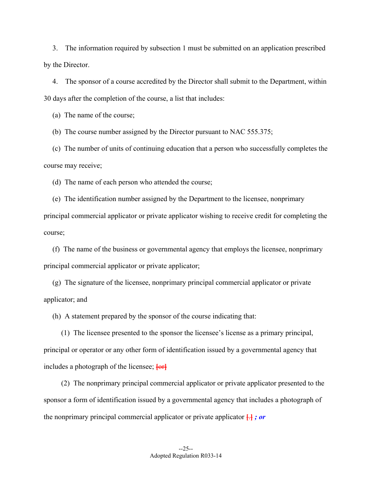3. The information required by subsection 1 must be submitted on an application prescribed by the Director.

 4. The sponsor of a course accredited by the Director shall submit to the Department, within 30 days after the completion of the course, a list that includes:

(a) The name of the course;

(b) The course number assigned by the Director pursuant to NAC 555.375;

 (c) The number of units of continuing education that a person who successfully completes the course may receive;

(d) The name of each person who attended the course;

 (e) The identification number assigned by the Department to the licensee, nonprimary principal commercial applicator or private applicator wishing to receive credit for completing the course;

 (f) The name of the business or governmental agency that employs the licensee, nonprimary principal commercial applicator or private applicator;

 (g) The signature of the licensee, nonprimary principal commercial applicator or private applicator; and

(h) A statement prepared by the sponsor of the course indicating that:

 (1) The licensee presented to the sponsor the licensee's license as a primary principal, principal or operator or any other form of identification issued by a governmental agency that includes a photograph of the licensee; **[**or**]**

 (2) The nonprimary principal commercial applicator or private applicator presented to the sponsor a form of identification issued by a governmental agency that includes a photograph of the nonprimary principal commercial applicator or private applicator **[**.**]** *; or*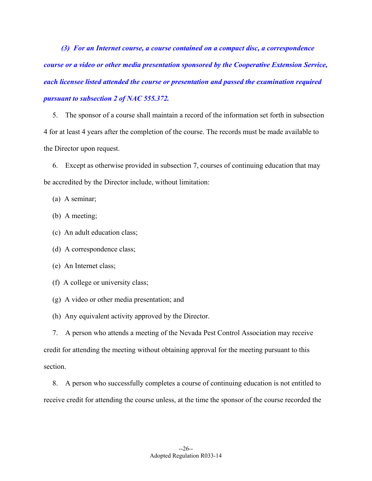*(3) For an Internet course, a course contained on a compact disc, a correspondence course or a video or other media presentation sponsored by the Cooperative Extension Service, each licensee listed attended the course or presentation and passed the examination required pursuant to subsection 2 of NAC 555.372.* 

 5. The sponsor of a course shall maintain a record of the information set forth in subsection 4 for at least 4 years after the completion of the course. The records must be made available to the Director upon request.

 6. Except as otherwise provided in subsection 7, courses of continuing education that may be accredited by the Director include, without limitation:

(a) A seminar;

(b) A meeting;

(c) An adult education class;

(d) A correspondence class;

(e) An Internet class;

(f) A college or university class;

(g) A video or other media presentation; and

(h) Any equivalent activity approved by the Director.

 7. A person who attends a meeting of the Nevada Pest Control Association may receive credit for attending the meeting without obtaining approval for the meeting pursuant to this section.

 8. A person who successfully completes a course of continuing education is not entitled to receive credit for attending the course unless, at the time the sponsor of the course recorded the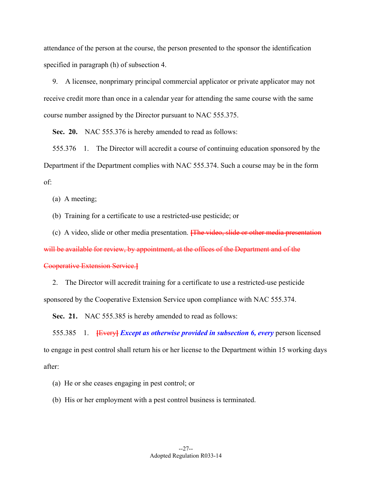attendance of the person at the course, the person presented to the sponsor the identification specified in paragraph (h) of subsection 4.

 9. A licensee, nonprimary principal commercial applicator or private applicator may not receive credit more than once in a calendar year for attending the same course with the same course number assigned by the Director pursuant to NAC 555.375.

 **Sec. 20.** NAC 555.376 is hereby amended to read as follows:

 555.376 1. The Director will accredit a course of continuing education sponsored by the Department if the Department complies with NAC 555.374. Such a course may be in the form of:

(a) A meeting;

(b) Training for a certificate to use a restricted-use pesticide; or

(c) A video, slide or other media presentation. **[**The video, slide or other media presentation

will be available for review, by appointment, at the offices of the Department and of the

#### Cooperative Extension Service.**]**

 2. The Director will accredit training for a certificate to use a restricted-use pesticide sponsored by the Cooperative Extension Service upon compliance with NAC 555.374.

**Sec. 21.** NAC 555.385 is hereby amended to read as follows:

 555.385 1. **[**Every**]** *Except as otherwise provided in subsection 6, every* person licensed to engage in pest control shall return his or her license to the Department within 15 working days after:

(a) He or she ceases engaging in pest control; or

(b) His or her employment with a pest control business is terminated.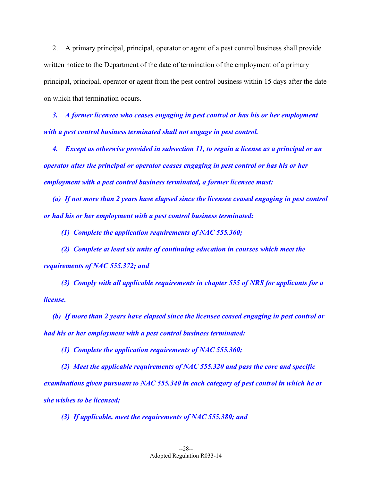2. A primary principal, principal, operator or agent of a pest control business shall provide written notice to the Department of the date of termination of the employment of a primary principal, principal, operator or agent from the pest control business within 15 days after the date on which that termination occurs.

 *3. A former licensee who ceases engaging in pest control or has his or her employment with a pest control business terminated shall not engage in pest control.* 

 *4. Except as otherwise provided in subsection 11, to regain a license as a principal or an operator after the principal or operator ceases engaging in pest control or has his or her employment with a pest control business terminated, a former licensee must:* 

 *(a) If not more than 2 years have elapsed since the licensee ceased engaging in pest control or had his or her employment with a pest control business terminated:* 

 *(1) Complete the application requirements of NAC 555.360;* 

 *(2) Complete at least six units of continuing education in courses which meet the requirements of NAC 555.372; and* 

 *(3) Comply with all applicable requirements in chapter 555 of NRS for applicants for a license.* 

 *(b) If more than 2 years have elapsed since the licensee ceased engaging in pest control or had his or her employment with a pest control business terminated:* 

 *(1) Complete the application requirements of NAC 555.360;* 

 *(2) Meet the applicable requirements of NAC 555.320 and pass the core and specific examinations given pursuant to NAC 555.340 in each category of pest control in which he or she wishes to be licensed;* 

 *(3) If applicable, meet the requirements of NAC 555.380; and*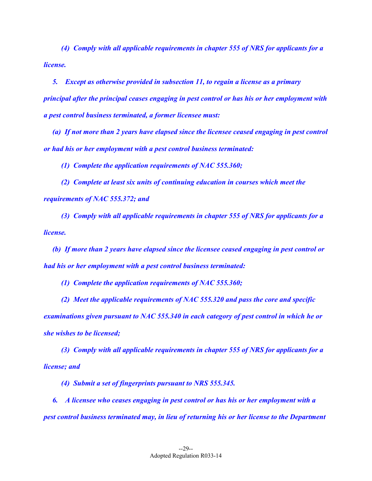*(4) Comply with all applicable requirements in chapter 555 of NRS for applicants for a license.* 

 *5. Except as otherwise provided in subsection 11, to regain a license as a primary principal after the principal ceases engaging in pest control or has his or her employment with a pest control business terminated, a former licensee must:* 

 *(a) If not more than 2 years have elapsed since the licensee ceased engaging in pest control or had his or her employment with a pest control business terminated:* 

 *(1) Complete the application requirements of NAC 555.360;* 

 *(2) Complete at least six units of continuing education in courses which meet the requirements of NAC 555.372; and* 

 *(3) Comply with all applicable requirements in chapter 555 of NRS for applicants for a license.* 

 *(b) If more than 2 years have elapsed since the licensee ceased engaging in pest control or had his or her employment with a pest control business terminated:* 

 *(1) Complete the application requirements of NAC 555.360;* 

 *(2) Meet the applicable requirements of NAC 555.320 and pass the core and specific examinations given pursuant to NAC 555.340 in each category of pest control in which he or she wishes to be licensed;* 

 *(3) Comply with all applicable requirements in chapter 555 of NRS for applicants for a license; and* 

 *(4) Submit a set of fingerprints pursuant to NRS 555.345.* 

 *6. A licensee who ceases engaging in pest control or has his or her employment with a pest control business terminated may, in lieu of returning his or her license to the Department*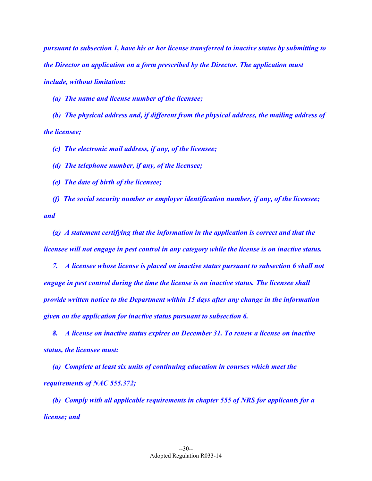*pursuant to subsection 1, have his or her license transferred to inactive status by submitting to the Director an application on a form prescribed by the Director. The application must include, without limitation:* 

 *(a) The name and license number of the licensee;* 

 *(b) The physical address and, if different from the physical address, the mailing address of the licensee;* 

 *(c) The electronic mail address, if any, of the licensee;* 

 *(d) The telephone number, if any, of the licensee;* 

 *(e) The date of birth of the licensee;* 

 *(f) The social security number or employer identification number, if any, of the licensee; and* 

 *(g) A statement certifying that the information in the application is correct and that the licensee will not engage in pest control in any category while the license is on inactive status.* 

 *7. A licensee whose license is placed on inactive status pursuant to subsection 6 shall not engage in pest control during the time the license is on inactive status. The licensee shall provide written notice to the Department within 15 days after any change in the information given on the application for inactive status pursuant to subsection 6.* 

 *8. A license on inactive status expires on December 31. To renew a license on inactive status, the licensee must:* 

 *(a) Complete at least six units of continuing education in courses which meet the requirements of NAC 555.372;* 

 *(b) Comply with all applicable requirements in chapter 555 of NRS for applicants for a license; and*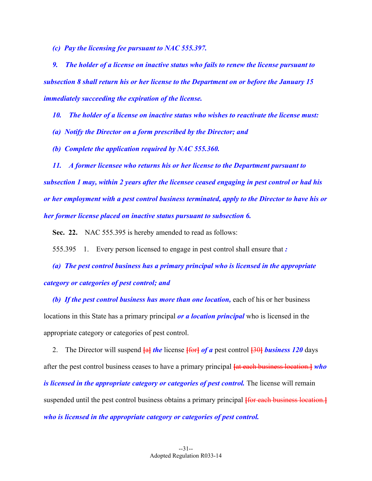*(c) Pay the licensing fee pursuant to NAC 555.397.* 

 *9. The holder of a license on inactive status who fails to renew the license pursuant to subsection 8 shall return his or her license to the Department on or before the January 15 immediately succeeding the expiration of the license.* 

 *10. The holder of a license on inactive status who wishes to reactivate the license must:* 

- *(a) Notify the Director on a form prescribed by the Director; and*
- *(b) Complete the application required by NAC 555.360.*

 *11. A former licensee who returns his or her license to the Department pursuant to subsection 1 may, within 2 years after the licensee ceased engaging in pest control or had his or her employment with a pest control business terminated, apply to the Director to have his or her former license placed on inactive status pursuant to subsection 6.* 

**Sec. 22.** NAC 555.395 is hereby amended to read as follows:

555.395 1. Every person licensed to engage in pest control shall ensure that *:* 

 *(a) The pest control business has a primary principal who is licensed in the appropriate category or categories of pest control; and* 

 *(b) If the pest control business has more than one location,* each of his or her business locations in this State has a primary principal *or a location principal* who is licensed in the appropriate category or categories of pest control.

 2. The Director will suspend **[**a**]** *the* license **[**for**]** *of a* pest control **[**30**]** *business 120* days after the pest control business ceases to have a primary principal **[**at each business location.**]** *who is licensed in the appropriate category or categories of pest control.* The license will remain suspended until the pest control business obtains a primary principal **[**for each business location.**]**  *who is licensed in the appropriate category or categories of pest control.*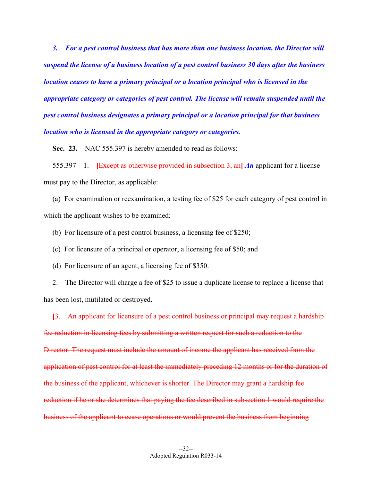*3. For a pest control business that has more than one business location, the Director will suspend the license of a business location of a pest control business 30 days after the business location ceases to have a primary principal or a location principal who is licensed in the appropriate category or categories of pest control. The license will remain suspended until the pest control business designates a primary principal or a location principal for that business location who is licensed in the appropriate category or categories.* 

**Sec. 23.** NAC 555.397 is hereby amended to read as follows:

 555.397 1. **[**Except as otherwise provided in subsection 3, an**]** *An* applicant for a license must pay to the Director, as applicable:

 (a) For examination or reexamination, a testing fee of \$25 for each category of pest control in which the applicant wishes to be examined;

(b) For licensure of a pest control business, a licensing fee of \$250;

(c) For licensure of a principal or operator, a licensing fee of \$50; and

(d) For licensure of an agent, a licensing fee of \$350.

 2. The Director will charge a fee of \$25 to issue a duplicate license to replace a license that has been lost, mutilated or destroyed.

**[**3. An applicant for licensure of a pest control business or principal may request a hardship fee reduction in licensing fees by submitting a written request for such a reduction to the Director. The request must include the amount of income the applicant has received from the application of pest control for at least the immediately preceding 12 months or for the duration of the business of the applicant, whichever is shorter. The Director may grant a hardship fee reduction if he or she determines that paying the fee described in subsection 1 would require the business of the applicant to cease operations or would prevent the business from beginning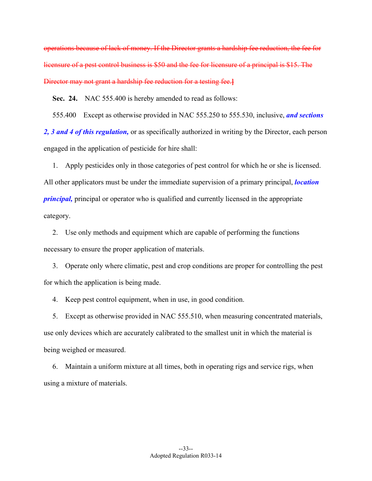operations because of lack of money. If the Director grants a hardship fee reduction, the fee for licensure of a pest control business is \$50 and the fee for licensure of a principal is \$15. The Director may not grant a hardship fee reduction for a testing fee.**]**

 **Sec. 24.** NAC 555.400 is hereby amended to read as follows:

555.400 Except as otherwise provided in NAC 555.250 to 555.530, inclusive, *and sections* 

*2, 3 and 4 of this regulation,* or as specifically authorized in writing by the Director, each person engaged in the application of pesticide for hire shall:

 1. Apply pesticides only in those categories of pest control for which he or she is licensed. All other applicators must be under the immediate supervision of a primary principal, *location principal,* principal or operator who is qualified and currently licensed in the appropriate category.

 2. Use only methods and equipment which are capable of performing the functions necessary to ensure the proper application of materials.

 3. Operate only where climatic, pest and crop conditions are proper for controlling the pest for which the application is being made.

4. Keep pest control equipment, when in use, in good condition.

 5. Except as otherwise provided in NAC 555.510, when measuring concentrated materials, use only devices which are accurately calibrated to the smallest unit in which the material is being weighed or measured.

 6. Maintain a uniform mixture at all times, both in operating rigs and service rigs, when using a mixture of materials.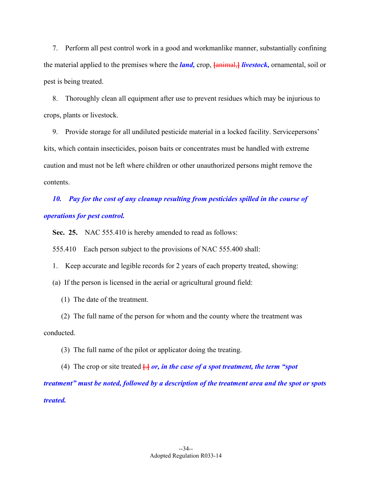7. Perform all pest control work in a good and workmanlike manner, substantially confining the material applied to the premises where the *land,* crop, **[**animal,**]** *livestock,* ornamental, soil or pest is being treated.

 8. Thoroughly clean all equipment after use to prevent residues which may be injurious to crops, plants or livestock.

 9. Provide storage for all undiluted pesticide material in a locked facility. Servicepersons' kits, which contain insecticides, poison baits or concentrates must be handled with extreme caution and must not be left where children or other unauthorized persons might remove the contents.

 *10. Pay for the cost of any cleanup resulting from pesticides spilled in the course of operations for pest control.* 

**Sec. 25.** NAC 555.410 is hereby amended to read as follows:

555.410 Each person subject to the provisions of NAC 555.400 shall:

1. Keep accurate and legible records for 2 years of each property treated, showing:

(a) If the person is licensed in the aerial or agricultural ground field:

(1) The date of the treatment.

 (2) The full name of the person for whom and the county where the treatment was conducted.

(3) The full name of the pilot or applicator doing the treating.

(4) The crop or site treated  $\frac{1}{n}$  or, in the case of a spot treatment, the term "spot" *treatment" must be noted, followed by a description of the treatment area and the spot or spots treated.*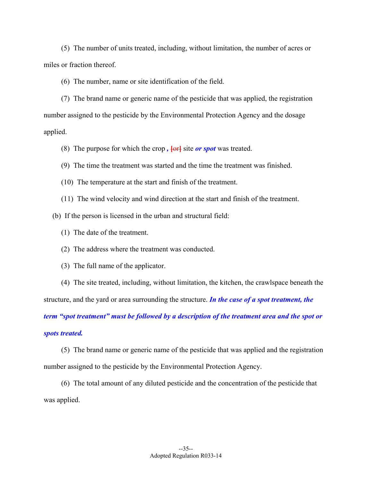(5) The number of units treated, including, without limitation, the number of acres or miles or fraction thereof.

(6) The number, name or site identification of the field.

 (7) The brand name or generic name of the pesticide that was applied, the registration number assigned to the pesticide by the Environmental Protection Agency and the dosage applied.

(8) The purpose for which the crop *,* **[**or**]** site *or spot* was treated.

- (9) The time the treatment was started and the time the treatment was finished.
- (10) The temperature at the start and finish of the treatment.
- (11) The wind velocity and wind direction at the start and finish of the treatment.
- (b) If the person is licensed in the urban and structural field:
	- (1) The date of the treatment.
	- (2) The address where the treatment was conducted.
	- (3) The full name of the applicator.
- (4) The site treated, including, without limitation, the kitchen, the crawlspace beneath the structure, and the yard or area surrounding the structure. *In the case of a spot treatment, the*

*term "spot treatment" must be followed by a description of the treatment area and the spot or spots treated.*

 (5) The brand name or generic name of the pesticide that was applied and the registration number assigned to the pesticide by the Environmental Protection Agency.

 (6) The total amount of any diluted pesticide and the concentration of the pesticide that was applied.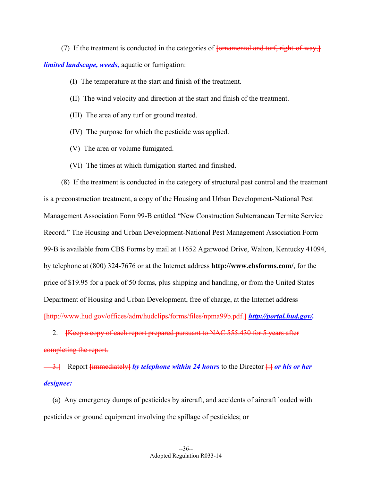(7) If the treatment is conducted in the categories of **[**ornamental and turf, right-of-way,**]** *limited landscape, weeds,* aquatic or fumigation:

- (I) The temperature at the start and finish of the treatment.
- (II) The wind velocity and direction at the start and finish of the treatment.
- (III) The area of any turf or ground treated.
- (IV) The purpose for which the pesticide was applied.
- (V) The area or volume fumigated.
- (VI) The times at which fumigation started and finished.

 (8) If the treatment is conducted in the category of structural pest control and the treatment is a preconstruction treatment, a copy of the Housing and Urban Development-National Pest Management Association Form 99-B entitled "New Construction Subterranean Termite Service Record." The Housing and Urban Development-National Pest Management Association Form 99-B is available from CBS Forms by mail at 11652 Agarwood Drive, Walton, Kentucky 41094, by telephone at (800) 324-7676 or at the Internet address **http://www.cbsforms.com/**, for the price of \$19.95 for a pack of 50 forms, plus shipping and handling, or from the United States Department of Housing and Urban Development, free of charge, at the Internet address **[**http://www.hud.gov/offices/adm/hudclips/forms/files/npma99b.pdf.**]** *http://portal.hud.gov/.*

 2. **[**Keep a copy of each report prepared pursuant to NAC 555.430 for 5 years after completing the report.

 3.**]** Report **[**immediately**]** *by telephone within 24 hours* to the Director **[**:**]** *or his or her designee:*

 (a) Any emergency dumps of pesticides by aircraft, and accidents of aircraft loaded with pesticides or ground equipment involving the spillage of pesticides; or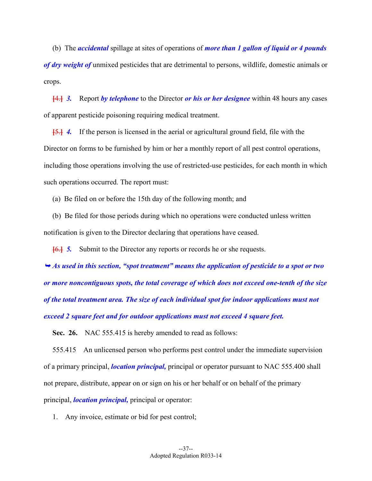(b) The *accidental* spillage at sites of operations of *more than 1 gallon of liquid or 4 pounds of dry weight of* unmixed pesticides that are detrimental to persons, wildlife, domestic animals or crops.

**[**4.**]** *3.* Report *by telephone* to the Director *or his or her designee* within 48 hours any cases of apparent pesticide poisoning requiring medical treatment.

**[**5.**]** *4.* If the person is licensed in the aerial or agricultural ground field, file with the Director on forms to be furnished by him or her a monthly report of all pest control operations, including those operations involving the use of restricted-use pesticides, for each month in which such operations occurred. The report must:

(a) Be filed on or before the 15th day of the following month; and

 (b) Be filed for those periods during which no operations were conducted unless written notification is given to the Director declaring that operations have ceased.

**[**6.**]** *5.* Submit to the Director any reports or records he or she requests.

 *As used in this section, "spot treatment" means the application of pesticide to a spot or two or more noncontiguous spots, the total coverage of which does not exceed one-tenth of the size of the total treatment area. The size of each individual spot for indoor applications must not exceed 2 square feet and for outdoor applications must not exceed 4 square feet.* 

Sec. 26. NAC 555.415 is hereby amended to read as follows:

 555.415 An unlicensed person who performs pest control under the immediate supervision of a primary principal, *location principal,* principal or operator pursuant to NAC 555.400 shall not prepare, distribute, appear on or sign on his or her behalf or on behalf of the primary principal, *location principal,* principal or operator:

1. Any invoice, estimate or bid for pest control;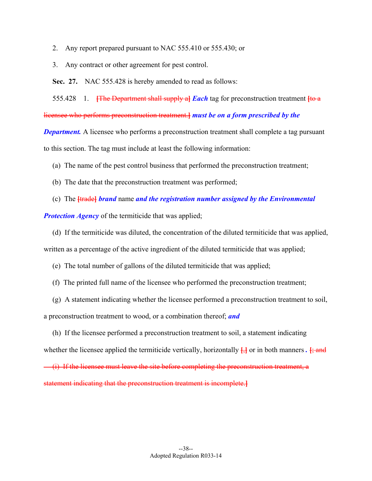- 2. Any report prepared pursuant to NAC 555.410 or 555.430; or
- 3. Any contract or other agreement for pest control.

**Sec. 27.** NAC 555.428 is hereby amended to read as follows:

555.428 1. **[**The Department shall supply a**]** *Each* tag for preconstruction treatment **[**to a

licensee who performs preconstruction treatment.**]** *must be on a form prescribed by the* 

*Department.* A licensee who performs a preconstruction treatment shall complete a tag pursuant to this section. The tag must include at least the following information:

(a) The name of the pest control business that performed the preconstruction treatment;

- (b) The date that the preconstruction treatment was performed;
- (c) The **[**trade**]** *brand* name *and the registration number assigned by the Environmental*

*Protection Agency* of the termiticide that was applied;

(d) If the termiticide was diluted, the concentration of the diluted termiticide that was applied,

written as a percentage of the active ingredient of the diluted termiticide that was applied;

(e) The total number of gallons of the diluted termiticide that was applied;

(f) The printed full name of the licensee who performed the preconstruction treatment;

 (g) A statement indicating whether the licensee performed a preconstruction treatment to soil, a preconstruction treatment to wood, or a combination thereof; *and*

 (h) If the licensee performed a preconstruction treatment to soil, a statement indicating whether the licensee applied the termiticide vertically, horizontally **[**,**]** or in both manners *.* **[**; and (i) If the licensee must leave the site before completing the preconstruction treatment, a statement indicating that the preconstruction treatment is incomplete.**]**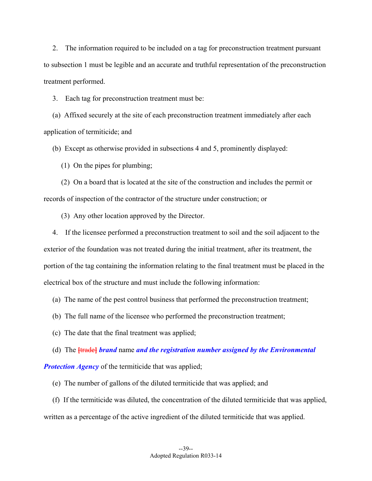2. The information required to be included on a tag for preconstruction treatment pursuant to subsection 1 must be legible and an accurate and truthful representation of the preconstruction treatment performed.

3. Each tag for preconstruction treatment must be:

 (a) Affixed securely at the site of each preconstruction treatment immediately after each application of termiticide; and

(b) Except as otherwise provided in subsections 4 and 5, prominently displayed:

(1) On the pipes for plumbing;

 (2) On a board that is located at the site of the construction and includes the permit or records of inspection of the contractor of the structure under construction; or

(3) Any other location approved by the Director.

 4. If the licensee performed a preconstruction treatment to soil and the soil adjacent to the exterior of the foundation was not treated during the initial treatment, after its treatment, the portion of the tag containing the information relating to the final treatment must be placed in the electrical box of the structure and must include the following information:

(a) The name of the pest control business that performed the preconstruction treatment;

(b) The full name of the licensee who performed the preconstruction treatment;

(c) The date that the final treatment was applied;

(d) The **[**trade**]** *brand* name *and the registration number assigned by the Environmental* 

*Protection Agency* of the termiticide that was applied;

(e) The number of gallons of the diluted termiticide that was applied; and

 (f) If the termiticide was diluted, the concentration of the diluted termiticide that was applied, written as a percentage of the active ingredient of the diluted termiticide that was applied.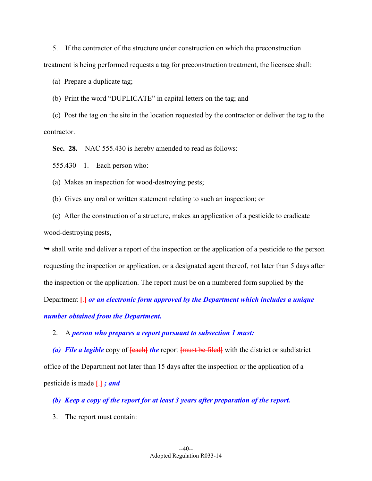5. If the contractor of the structure under construction on which the preconstruction

treatment is being performed requests a tag for preconstruction treatment, the licensee shall:

(a) Prepare a duplicate tag;

(b) Print the word "DUPLICATE" in capital letters on the tag; and

 (c) Post the tag on the site in the location requested by the contractor or deliver the tag to the contractor.

**Sec. 28.** NAC 555.430 is hereby amended to read as follows:

555.430 1. Each person who:

(a) Makes an inspection for wood-destroying pests;

(b) Gives any oral or written statement relating to such an inspection; or

 (c) After the construction of a structure, makes an application of a pesticide to eradicate wood-destroying pests,

 $\rightarrow$  shall write and deliver a report of the inspection or the application of a pesticide to the person requesting the inspection or application, or a designated agent thereof, not later than 5 days after the inspection or the application. The report must be on a numbered form supplied by the Department **[**.**]** *or an electronic form approved by the Department which includes a unique number obtained from the Department.*

2. A *person who prepares a report pursuant to subsection 1 must:* 

 *(a) File a legible* copy of **[**each**]** *the* report **[**must be filed**]** with the district or subdistrict office of the Department not later than 15 days after the inspection or the application of a pesticide is made **[**.**]** *; and* 

 *(b) Keep a copy of the report for at least 3 years after preparation of the report.* 

3. The report must contain: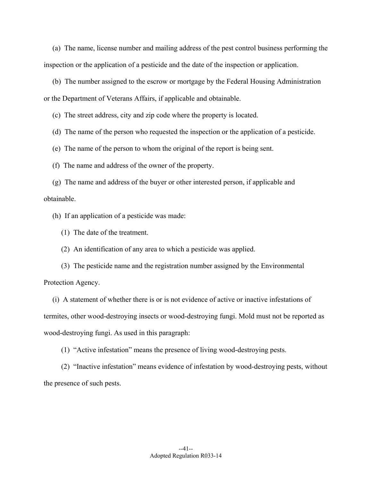(a) The name, license number and mailing address of the pest control business performing the inspection or the application of a pesticide and the date of the inspection or application.

 (b) The number assigned to the escrow or mortgage by the Federal Housing Administration or the Department of Veterans Affairs, if applicable and obtainable.

(c) The street address, city and zip code where the property is located.

(d) The name of the person who requested the inspection or the application of a pesticide.

(e) The name of the person to whom the original of the report is being sent.

(f) The name and address of the owner of the property.

 (g) The name and address of the buyer or other interested person, if applicable and obtainable.

(h) If an application of a pesticide was made:

(1) The date of the treatment.

(2) An identification of any area to which a pesticide was applied.

 (3) The pesticide name and the registration number assigned by the Environmental Protection Agency.

 (i) A statement of whether there is or is not evidence of active or inactive infestations of termites, other wood-destroying insects or wood-destroying fungi. Mold must not be reported as wood-destroying fungi. As used in this paragraph:

(1) "Active infestation" means the presence of living wood-destroying pests.

 (2) "Inactive infestation" means evidence of infestation by wood-destroying pests, without the presence of such pests.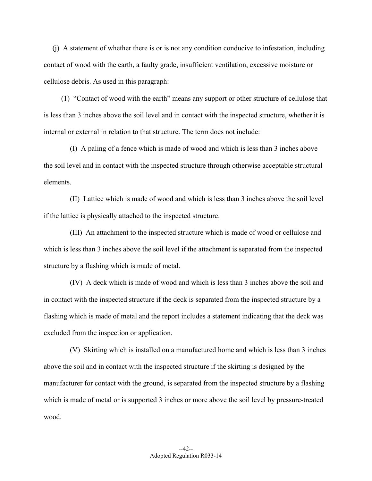(j) A statement of whether there is or is not any condition conducive to infestation, including contact of wood with the earth, a faulty grade, insufficient ventilation, excessive moisture or cellulose debris. As used in this paragraph:

 (1) "Contact of wood with the earth" means any support or other structure of cellulose that is less than 3 inches above the soil level and in contact with the inspected structure, whether it is internal or external in relation to that structure. The term does not include:

 (I) A paling of a fence which is made of wood and which is less than 3 inches above the soil level and in contact with the inspected structure through otherwise acceptable structural elements.

 (II) Lattice which is made of wood and which is less than 3 inches above the soil level if the lattice is physically attached to the inspected structure.

 (III) An attachment to the inspected structure which is made of wood or cellulose and which is less than 3 inches above the soil level if the attachment is separated from the inspected structure by a flashing which is made of metal.

 (IV) A deck which is made of wood and which is less than 3 inches above the soil and in contact with the inspected structure if the deck is separated from the inspected structure by a flashing which is made of metal and the report includes a statement indicating that the deck was excluded from the inspection or application.

 (V) Skirting which is installed on a manufactured home and which is less than 3 inches above the soil and in contact with the inspected structure if the skirting is designed by the manufacturer for contact with the ground, is separated from the inspected structure by a flashing which is made of metal or is supported 3 inches or more above the soil level by pressure-treated wood.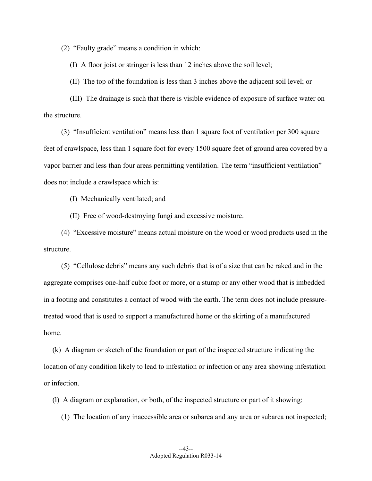(2) "Faulty grade" means a condition in which:

(I) A floor joist or stringer is less than 12 inches above the soil level;

(II) The top of the foundation is less than 3 inches above the adjacent soil level; or

 (III) The drainage is such that there is visible evidence of exposure of surface water on the structure.

 (3) "Insufficient ventilation" means less than 1 square foot of ventilation per 300 square feet of crawlspace, less than 1 square foot for every 1500 square feet of ground area covered by a vapor barrier and less than four areas permitting ventilation. The term "insufficient ventilation" does not include a crawlspace which is:

(I) Mechanically ventilated; and

(II) Free of wood-destroying fungi and excessive moisture.

 (4) "Excessive moisture" means actual moisture on the wood or wood products used in the structure.

 (5) "Cellulose debris" means any such debris that is of a size that can be raked and in the aggregate comprises one-half cubic foot or more, or a stump or any other wood that is imbedded in a footing and constitutes a contact of wood with the earth. The term does not include pressuretreated wood that is used to support a manufactured home or the skirting of a manufactured home.

 (k) A diagram or sketch of the foundation or part of the inspected structure indicating the location of any condition likely to lead to infestation or infection or any area showing infestation or infection.

(l) A diagram or explanation, or both, of the inspected structure or part of it showing:

(1) The location of any inaccessible area or subarea and any area or subarea not inspected;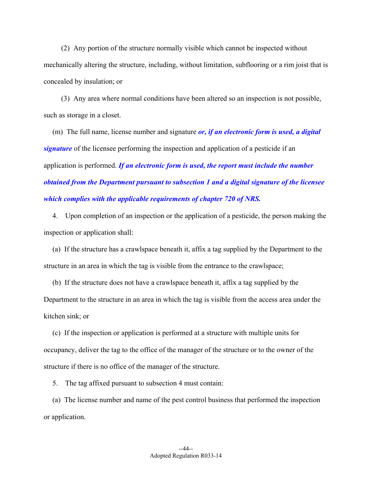(2) Any portion of the structure normally visible which cannot be inspected without mechanically altering the structure, including, without limitation, subflooring or a rim joist that is concealed by insulation; or

 (3) Any area where normal conditions have been altered so an inspection is not possible, such as storage in a closet.

 (m) The full name, license number and signature *or, if an electronic form is used, a digital signature* of the licensee performing the inspection and application of a pesticide if an application is performed. *If an electronic form is used, the report must include the number obtained from the Department pursuant to subsection 1 and a digital signature of the licensee which complies with the applicable requirements of chapter 720 of NRS.*

 4. Upon completion of an inspection or the application of a pesticide, the person making the inspection or application shall:

 (a) If the structure has a crawlspace beneath it, affix a tag supplied by the Department to the structure in an area in which the tag is visible from the entrance to the crawlspace;

 (b) If the structure does not have a crawlspace beneath it, affix a tag supplied by the Department to the structure in an area in which the tag is visible from the access area under the kitchen sink; or

 (c) If the inspection or application is performed at a structure with multiple units for occupancy, deliver the tag to the office of the manager of the structure or to the owner of the structure if there is no office of the manager of the structure.

5. The tag affixed pursuant to subsection 4 must contain:

 (a) The license number and name of the pest control business that performed the inspection or application.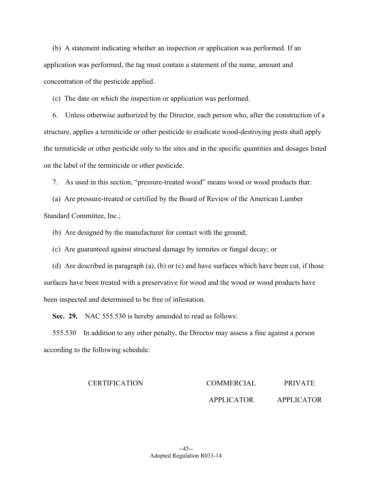(b) A statement indicating whether an inspection or application was performed. If an application was performed, the tag must contain a statement of the name, amount and concentration of the pesticide applied.

(c) The date on which the inspection or application was performed.

 6. Unless otherwise authorized by the Director, each person who, after the construction of a structure, applies a termiticide or other pesticide to eradicate wood-destroying pests shall apply the termiticide or other pesticide only to the sites and in the specific quantities and dosages listed on the label of the termiticide or other pesticide.

7. As used in this section, "pressure-treated wood" means wood or wood products that:

 (a) Are pressure-treated or certified by the Board of Review of the American Lumber Standard Committee, Inc.;

(b) Are designed by the manufacturer for contact with the ground;

(c) Are guaranteed against structural damage by termites or fungal decay; or

 (d) Are described in paragraph (a), (b) or (c) and have surfaces which have been cut, if those surfaces have been treated with a preservative for wood and the wood or wood products have been inspected and determined to be free of infestation.

**Sec. 29.** NAC 555.530 is hereby amended to read as follows:

 555.530 In addition to any other penalty, the Director may assess a fine against a person according to the following schedule:

## CERTIFICATION COMMERCIAL

APPLICATOR PRIVATE APPLICATOR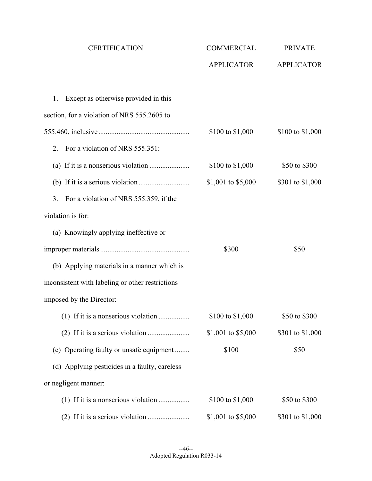| <b>CERTIFICATION</b>                                     | COMMERCIAL         | <b>PRIVATE</b>    |
|----------------------------------------------------------|--------------------|-------------------|
|                                                          | <b>APPLICATOR</b>  | <b>APPLICATOR</b> |
|                                                          |                    |                   |
| Except as otherwise provided in this<br>1.               |                    |                   |
| section, for a violation of NRS 555.2605 to              |                    |                   |
|                                                          | \$100 to \$1,000   | \$100 to \$1,000  |
| For a violation of NRS 555.351:<br>2.                    |                    |                   |
|                                                          | \$100 to \$1,000   | \$50 to \$300     |
|                                                          | \$1,001 to \$5,000 | \$301 to \$1,000  |
| For a violation of NRS 555.359, if the<br>3 <sub>1</sub> |                    |                   |
| violation is for:                                        |                    |                   |
| (a) Knowingly applying ineffective or                    |                    |                   |
|                                                          | \$300              | \$50              |
| (b) Applying materials in a manner which is              |                    |                   |
| inconsistent with labeling or other restrictions         |                    |                   |
| imposed by the Director:                                 |                    |                   |
| (1) If it is a nonserious violation                      | \$100 to \$1,000   | \$50 to \$300     |
|                                                          | \$1,001 to \$5,000 | \$301 to \$1,000  |
| (c) Operating faulty or unsafe equipment                 | \$100              | \$50              |
| (d) Applying pesticides in a faulty, careless            |                    |                   |
| or negligent manner:                                     |                    |                   |
|                                                          | \$100 to \$1,000   | \$50 to \$300     |
|                                                          | \$1,001 to \$5,000 | \$301 to \$1,000  |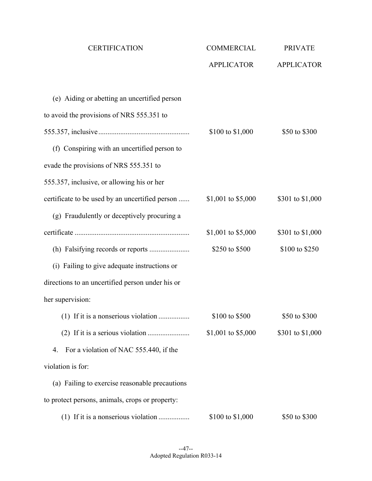| <b>CERTIFICATION</b>                             | COMMERCIAL         | <b>PRIVATE</b>    |
|--------------------------------------------------|--------------------|-------------------|
|                                                  | <b>APPLICATOR</b>  | <b>APPLICATOR</b> |
| (e) Aiding or abetting an uncertified person     |                    |                   |
| to avoid the provisions of NRS 555.351 to        |                    |                   |
|                                                  | \$100 to \$1,000   | \$50 to \$300     |
| (f) Conspiring with an uncertified person to     |                    |                   |
| evade the provisions of NRS 555.351 to           |                    |                   |
| 555.357, inclusive, or allowing his or her       |                    |                   |
| certificate to be used by an uncertified person  | \$1,001 to \$5,000 | \$301 to \$1,000  |
| (g) Fraudulently or deceptively procuring a      |                    |                   |
|                                                  | \$1,001 to \$5,000 | \$301 to \$1,000  |
|                                                  | \$250 to \$500     | \$100 to \$250    |
| (i) Failing to give adequate instructions or     |                    |                   |
| directions to an uncertified person under his or |                    |                   |
| her supervision:                                 |                    |                   |
| (1) If it is a nonserious violation              | \$100 to \$500     | \$50 to \$300     |
|                                                  | \$1,001 to \$5,000 | \$301 to \$1,000  |
| For a violation of NAC 555.440, if the<br>4.     |                    |                   |
| violation is for:                                |                    |                   |
| (a) Failing to exercise reasonable precautions   |                    |                   |
| to protect persons, animals, crops or property:  |                    |                   |
|                                                  | \$100 to \$1,000   | \$50 to \$300     |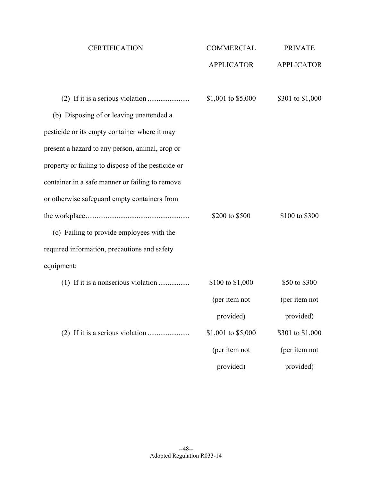| <b>CERTIFICATION</b>                               | <b>COMMERCIAL</b>  | <b>PRIVATE</b>    |
|----------------------------------------------------|--------------------|-------------------|
|                                                    | <b>APPLICATOR</b>  | <b>APPLICATOR</b> |
|                                                    |                    |                   |
|                                                    | \$1,001 to \$5,000 | \$301 to \$1,000  |
| (b) Disposing of or leaving unattended a           |                    |                   |
| pesticide or its empty container where it may      |                    |                   |
| present a hazard to any person, animal, crop or    |                    |                   |
| property or failing to dispose of the pesticide or |                    |                   |
| container in a safe manner or failing to remove    |                    |                   |
| or otherwise safeguard empty containers from       |                    |                   |
|                                                    | \$200 to \$500     | \$100 to \$300    |
| (c) Failing to provide employees with the          |                    |                   |
| required information, precautions and safety       |                    |                   |
| equipment:                                         |                    |                   |
| (1) If it is a nonserious violation                | \$100 to \$1,000   | \$50 to \$300     |
|                                                    | (per item not      | (per item not     |
|                                                    | provided)          | provided)         |
|                                                    | \$1,001 to \$5,000 | \$301 to \$1,000  |
|                                                    | (per item not      | (per item not     |
|                                                    | provided)          | provided)         |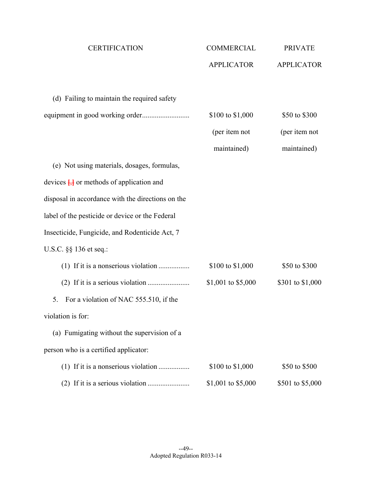| <b>CERTIFICATION</b>                                | <b>COMMERCIAL</b>  | <b>PRIVATE</b>    |
|-----------------------------------------------------|--------------------|-------------------|
|                                                     | <b>APPLICATOR</b>  | <b>APPLICATOR</b> |
|                                                     |                    |                   |
| (d) Failing to maintain the required safety         |                    |                   |
|                                                     | \$100 to \$1,000   | \$50 to \$300     |
|                                                     | (per item not      | (per item not     |
|                                                     | maintained)        | maintained)       |
| (e) Not using materials, dosages, formulas,         |                    |                   |
| devices $\frac{1}{2}$ or methods of application and |                    |                   |
| disposal in accordance with the directions on the   |                    |                   |
| label of the pesticide or device or the Federal     |                    |                   |
| Insecticide, Fungicide, and Rodenticide Act, 7      |                    |                   |
| U.S.C. §§ 136 et seq.:                              |                    |                   |
| (1) If it is a nonserious violation                 | \$100 to \$1,000   | \$50 to \$300     |
|                                                     | \$1,001 to \$5,000 | \$301 to \$1,000  |
| For a violation of NAC 555.510, if the<br>5.        |                    |                   |
| violation is for:                                   |                    |                   |
| (a) Fumigating without the supervision of a         |                    |                   |
| person who is a certified applicator:               |                    |                   |
|                                                     | \$100 to \$1,000   | \$50 to \$500     |
|                                                     | \$1,001 to \$5,000 | \$501 to \$5,000  |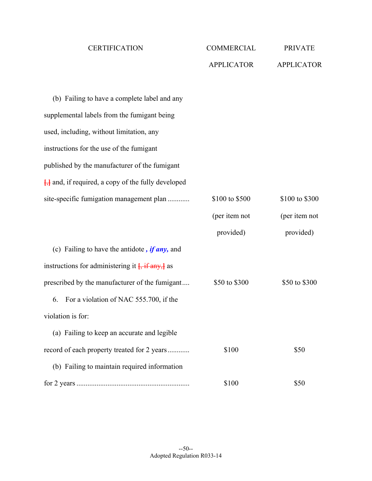| <b>CERTIFICATION</b>                                          | COMMERCIAL        | <b>PRIVATE</b>    |
|---------------------------------------------------------------|-------------------|-------------------|
|                                                               | <b>APPLICATOR</b> | <b>APPLICATOR</b> |
|                                                               |                   |                   |
| (b) Failing to have a complete label and any                  |                   |                   |
| supplemental labels from the fumigant being                   |                   |                   |
| used, including, without limitation, any                      |                   |                   |
| instructions for the use of the fumigant                      |                   |                   |
| published by the manufacturer of the fumigant                 |                   |                   |
| $\frac{1}{2}$ and, if required, a copy of the fully developed |                   |                   |
| site-specific fumigation management plan                      | \$100 to \$500    | \$100 to \$300    |
|                                                               | (per item not     | (per item not     |
|                                                               | provided)         | provided)         |
| (c) Failing to have the antidote, $if any$ , and              |                   |                   |
| instructions for administering it $\frac{1}{2}$ if any, as    |                   |                   |
| prescribed by the manufacturer of the fumigant                | \$50 to \$300     | \$50 to \$300     |
| For a violation of NAC 555.700, if the<br>6.                  |                   |                   |
| violation is for:                                             |                   |                   |
| (a) Failing to keep an accurate and legible                   |                   |                   |
| record of each property treated for 2 years                   | \$100             | \$50              |
| (b) Failing to maintain required information                  |                   |                   |
|                                                               | \$100             | \$50              |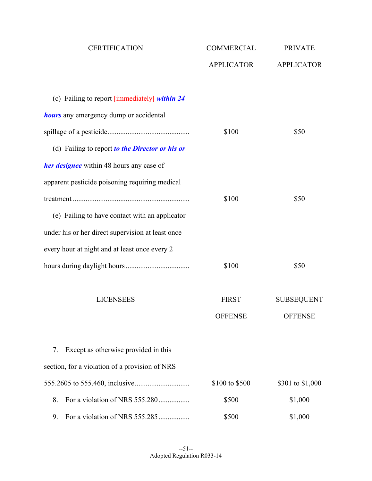| <b>CERTIFICATION</b>                                      | <b>COMMERCIAL</b> | <b>PRIVATE</b>    |
|-----------------------------------------------------------|-------------------|-------------------|
|                                                           | <b>APPLICATOR</b> | <b>APPLICATOR</b> |
| (c) Failing to report $\frac{1}{2}$ immediately within 24 |                   |                   |
| <b>hours</b> any emergency dump or accidental             |                   |                   |
|                                                           | \$100             | \$50              |
| (d) Failing to report to the Director or his or           |                   |                   |
| <b>her designee</b> within 48 hours any case of           |                   |                   |
| apparent pesticide poisoning requiring medical            |                   |                   |
|                                                           | \$100             | \$50              |
| (e) Failing to have contact with an applicator            |                   |                   |
| under his or her direct supervision at least once         |                   |                   |
| every hour at night and at least once every 2             |                   |                   |
|                                                           | \$100             | \$50              |
| <b>LICENSEES</b>                                          | <b>FIRST</b>      | <b>SUBSEQUENT</b> |
|                                                           | <b>OFFENSE</b>    | <b>OFFENSE</b>    |
| Except as otherwise provided in this<br>7.                |                   |                   |
| section, for a violation of a provision of NRS            |                   |                   |
|                                                           | \$100 to \$500    | \$301 to \$1,000  |
| For a violation of NRS 555.280<br>8.                      | \$500             | \$1,000           |
| For a violation of NRS 555.285<br>9.                      | \$500             | \$1,000           |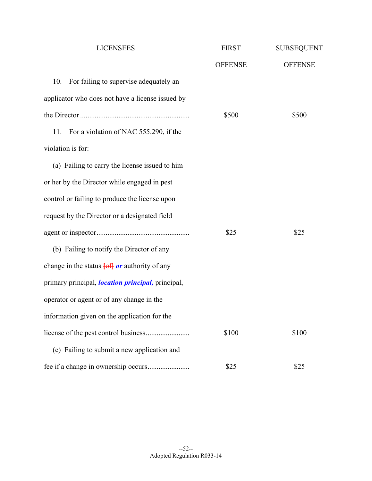| <b>LICENSEES</b>                                                | <b>FIRST</b>   | <b>SUBSEQUENT</b> |
|-----------------------------------------------------------------|----------------|-------------------|
|                                                                 | <b>OFFENSE</b> | <b>OFFENSE</b>    |
| 10.<br>For failing to supervise adequately an                   |                |                   |
| applicator who does not have a license issued by                |                |                   |
|                                                                 | \$500          | \$500             |
| For a violation of NAC 555.290, if the<br>11.                   |                |                   |
| violation is for:                                               |                |                   |
| (a) Failing to carry the license issued to him                  |                |                   |
| or her by the Director while engaged in pest                    |                |                   |
| control or failing to produce the license upon                  |                |                   |
| request by the Director or a designated field                   |                |                   |
|                                                                 | \$25           | \$25              |
| (b) Failing to notify the Director of any                       |                |                   |
| change in the status $\overline{f \circ f}$ or authority of any |                |                   |
| primary principal, <i>location principal</i> , principal,       |                |                   |
| operator or agent or of any change in the                       |                |                   |
| information given on the application for the                    |                |                   |
|                                                                 | \$100          | \$100             |
| (c) Failing to submit a new application and                     |                |                   |
|                                                                 | \$25           | \$25              |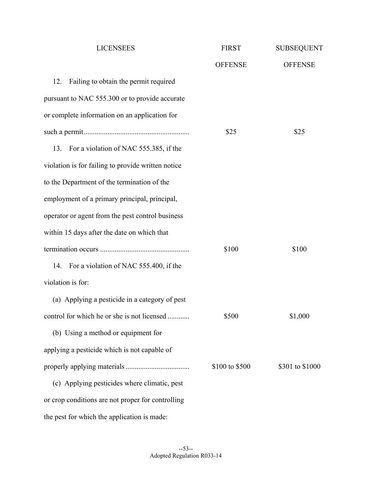| <b>LICENSEES</b>                                   | <b>FIRST</b>   | <b>SUBSEQUENT</b> |
|----------------------------------------------------|----------------|-------------------|
|                                                    | <b>OFFENSE</b> | <b>OFFENSE</b>    |
| 12.<br>Failing to obtain the permit required       |                |                   |
| pursuant to NAC 555.300 or to provide accurate     |                |                   |
| or complete information on an application for      |                |                   |
|                                                    | \$25           | \$25              |
| 13.<br>For a violation of NAC 555.385, if the      |                |                   |
| violation is for failing to provide written notice |                |                   |
| to the Department of the termination of the        |                |                   |
| employment of a primary principal, principal,      |                |                   |
| operator or agent from the pest control business   |                |                   |
| within 15 days after the date on which that        |                |                   |
|                                                    | \$100          | \$100             |
| For a violation of NAC 555.400, if the<br>14.      |                |                   |
| violation is for:                                  |                |                   |
| (a) Applying a pesticide in a category of pest     |                |                   |
| control for which he or she is not licensed        | \$500          | \$1,000           |
| (b) Using a method or equipment for                |                |                   |
| applying a pesticide which is not capable of       |                |                   |
|                                                    | \$100 to \$500 | \$301 to \$1000   |
| (c) Applying pesticides where climatic, pest       |                |                   |
| or crop conditions are not proper for controlling  |                |                   |
| the pest for which the application is made:        |                |                   |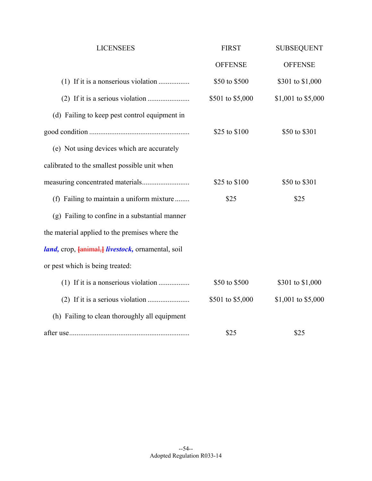| <b>LICENSEES</b>                                                        | <b>FIRST</b>     | <b>SUBSEQUENT</b>  |
|-------------------------------------------------------------------------|------------------|--------------------|
|                                                                         | <b>OFFENSE</b>   | <b>OFFENSE</b>     |
|                                                                         | \$50 to \$500    | \$301 to \$1,000   |
|                                                                         | \$501 to \$5,000 | \$1,001 to \$5,000 |
| (d) Failing to keep pest control equipment in                           |                  |                    |
|                                                                         | \$25 to \$100    | \$50 to \$301      |
| (e) Not using devices which are accurately                              |                  |                    |
| calibrated to the smallest possible unit when                           |                  |                    |
|                                                                         | \$25 to \$100    | \$50 to \$301      |
| (f) Failing to maintain a uniform mixture                               | \$25             | \$25               |
| (g) Failing to confine in a substantial manner                          |                  |                    |
| the material applied to the premises where the                          |                  |                    |
| <i>land</i> , crop, <b>{animal}</b> <i>livestock</i> , ornamental, soil |                  |                    |
| or pest which is being treated:                                         |                  |                    |
| (1) If it is a nonserious violation                                     | \$50 to \$500    | \$301 to \$1,000   |
|                                                                         | \$501 to \$5,000 | \$1,001 to \$5,000 |
| (h) Failing to clean thoroughly all equipment                           |                  |                    |
|                                                                         | \$25             | \$25               |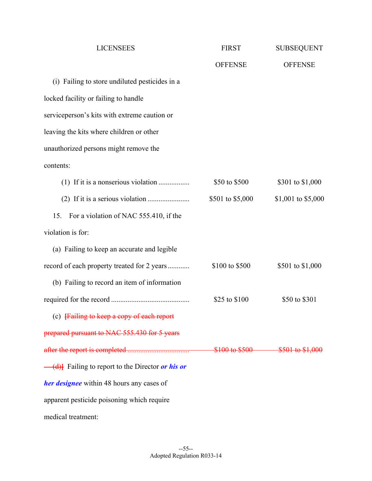| <b>LICENSEES</b>                                 | <b>FIRST</b>     | <b>SUBSEQUENT</b>               |
|--------------------------------------------------|------------------|---------------------------------|
|                                                  | <b>OFFENSE</b>   | <b>OFFENSE</b>                  |
| (i) Failing to store undiluted pesticides in a   |                  |                                 |
| locked facility or failing to handle             |                  |                                 |
| serviceperson's kits with extreme caution or     |                  |                                 |
| leaving the kits where children or other         |                  |                                 |
| unauthorized persons might remove the            |                  |                                 |
| contents:                                        |                  |                                 |
|                                                  | \$50 to \$500    | \$301 to \$1,000                |
|                                                  | \$501 to \$5,000 | \$1,001 to \$5,000              |
| For a violation of NAC 555.410, if the<br>15.    |                  |                                 |
| violation is for:                                |                  |                                 |
| (a) Failing to keep an accurate and legible      |                  |                                 |
| record of each property treated for 2 years      | \$100 to \$500   | \$501 to \$1,000                |
| (b) Failing to record an item of information     |                  |                                 |
|                                                  | \$25 to \$100    | \$50 to \$301                   |
| (c) Failing to keep a copy of each report        |                  |                                 |
| prepared pursuant to NAC 555.430 for 5 years     |                  |                                 |
|                                                  |                  | \$100 to \$500 \$501 to \$1,000 |
| (d) Failing to report to the Director or his or  |                  |                                 |
| <b>her designee</b> within 48 hours any cases of |                  |                                 |
| apparent pesticide poisoning which require       |                  |                                 |
| medical treatment:                               |                  |                                 |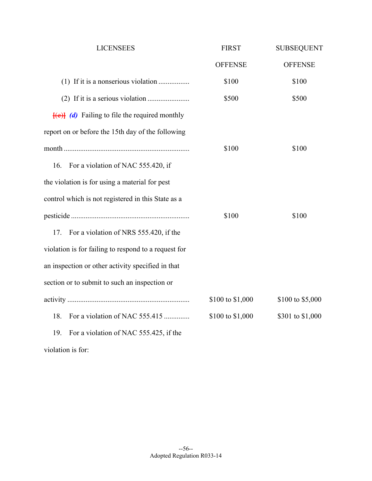| <b>LICENSEES</b>                                           | <b>FIRST</b>     | <b>SUBSEQUENT</b> |
|------------------------------------------------------------|------------------|-------------------|
|                                                            | <b>OFFENSE</b>   | <b>OFFENSE</b>    |
| (1) If it is a nonserious violation                        | \$100            | \$100             |
|                                                            | \$500            | \$500             |
| $\overline{f(e)}$ (d) Failing to file the required monthly |                  |                   |
| report on or before the 15th day of the following          |                  |                   |
|                                                            | \$100            | \$100             |
| For a violation of NAC 555.420, if<br>16.                  |                  |                   |
| the violation is for using a material for pest             |                  |                   |
| control which is not registered in this State as a         |                  |                   |
|                                                            | \$100            | \$100             |
| For a violation of NRS 555.420, if the<br>17.              |                  |                   |
| violation is for failing to respond to a request for       |                  |                   |
| an inspection or other activity specified in that          |                  |                   |
| section or to submit to such an inspection or              |                  |                   |
|                                                            | \$100 to \$1,000 | \$100 to \$5,000  |
| For a violation of NAC 555.415<br>18.                      | \$100 to \$1,000 | \$301 to \$1,000  |
| For a violation of NAC 555.425, if the<br>19.              |                  |                   |
|                                                            |                  |                   |

violation is for: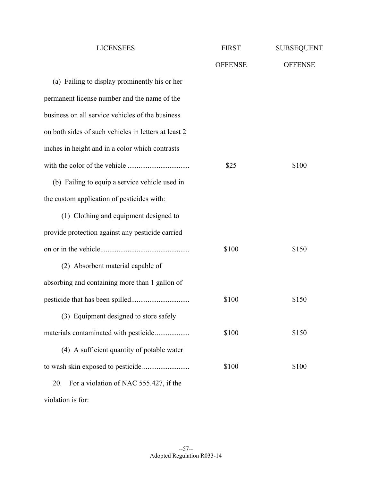| <b>LICENSEES</b>                                     | <b>FIRST</b>   | <b>SUBSEQUENT</b> |
|------------------------------------------------------|----------------|-------------------|
|                                                      | <b>OFFENSE</b> | <b>OFFENSE</b>    |
| (a) Failing to display prominently his or her        |                |                   |
| permanent license number and the name of the         |                |                   |
| business on all service vehicles of the business     |                |                   |
| on both sides of such vehicles in letters at least 2 |                |                   |
| inches in height and in a color which contrasts      |                |                   |
|                                                      | \$25           | \$100             |
| (b) Failing to equip a service vehicle used in       |                |                   |
| the custom application of pesticides with:           |                |                   |
| (1) Clothing and equipment designed to               |                |                   |
| provide protection against any pesticide carried     |                |                   |
|                                                      | \$100          | \$150             |
| (2) Absorbent material capable of                    |                |                   |
| absorbing and containing more than 1 gallon of       |                |                   |
|                                                      | \$100          | \$150             |
| (3) Equipment designed to store safely               |                |                   |
| materials contaminated with pesticide                | \$100          | \$150             |
| (4) A sufficient quantity of potable water           |                |                   |
|                                                      | \$100          | \$100             |
| For a violation of NAC 555.427, if the<br>20.        |                |                   |
|                                                      |                |                   |

violation is for: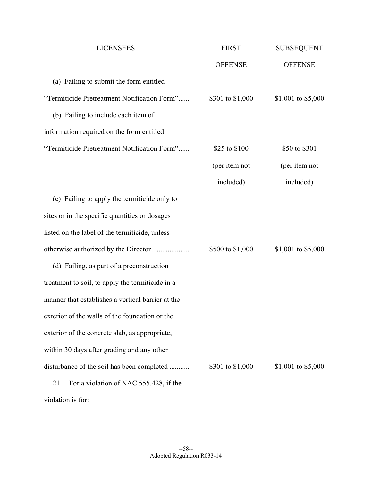| <b>LICENSEES</b>                                  | <b>FIRST</b>     | <b>SUBSEQUENT</b>  |
|---------------------------------------------------|------------------|--------------------|
|                                                   | <b>OFFENSE</b>   | <b>OFFENSE</b>     |
| (a) Failing to submit the form entitled           |                  |                    |
| "Termiticide Pretreatment Notification Form"      | \$301 to \$1,000 | \$1,001 to \$5,000 |
| (b) Failing to include each item of               |                  |                    |
| information required on the form entitled         |                  |                    |
| "Termiticide Pretreatment Notification Form"      | \$25 to \$100    | \$50 to \$301      |
|                                                   | (per item not    | (per item not      |
|                                                   | included)        | included)          |
| (c) Failing to apply the termiticide only to      |                  |                    |
| sites or in the specific quantities or dosages    |                  |                    |
| listed on the label of the termiticide, unless    |                  |                    |
| otherwise authorized by the Director              | \$500 to \$1,000 | \$1,001 to \$5,000 |
| (d) Failing, as part of a preconstruction         |                  |                    |
| treatment to soil, to apply the termiticide in a  |                  |                    |
| manner that establishes a vertical barrier at the |                  |                    |
| exterior of the walls of the foundation or the    |                  |                    |
| exterior of the concrete slab, as appropriate,    |                  |                    |
| within 30 days after grading and any other        |                  |                    |
| disturbance of the soil has been completed        | \$301 to \$1,000 | \$1,001 to \$5,000 |
| For a violation of NAC 555.428, if the<br>21.     |                  |                    |
| violation is for:                                 |                  |                    |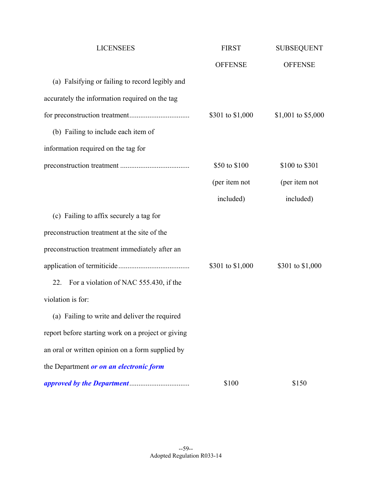| <b>LICENSEES</b>                                   | <b>FIRST</b>     | <b>SUBSEQUENT</b>  |
|----------------------------------------------------|------------------|--------------------|
|                                                    | <b>OFFENSE</b>   | <b>OFFENSE</b>     |
| (a) Falsifying or failing to record legibly and    |                  |                    |
| accurately the information required on the tag     |                  |                    |
|                                                    | \$301 to \$1,000 | \$1,001 to \$5,000 |
| (b) Failing to include each item of                |                  |                    |
| information required on the tag for                |                  |                    |
|                                                    | \$50 to \$100    | \$100 to \$301     |
|                                                    | (per item not    | (per item not      |
|                                                    | included)        | included)          |
| (c) Failing to affix securely a tag for            |                  |                    |
| preconstruction treatment at the site of the       |                  |                    |
| preconstruction treatment immediately after an     |                  |                    |
|                                                    | \$301 to \$1,000 | \$301 to \$1,000   |
| For a violation of NAC 555.430, if the<br>22.      |                  |                    |
| violation is for:                                  |                  |                    |
| (a) Failing to write and deliver the required      |                  |                    |
| report before starting work on a project or giving |                  |                    |
| an oral or written opinion on a form supplied by   |                  |                    |
| the Department or on an electronic form            |                  |                    |
|                                                    | \$100            | \$150              |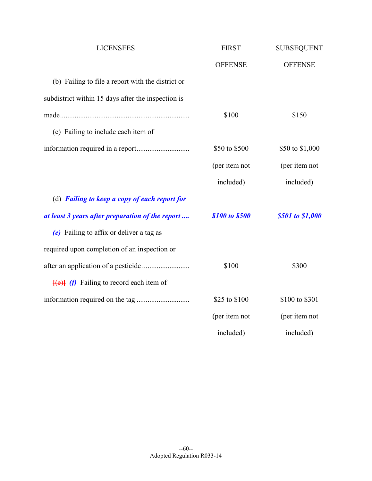| <b>LICENSEES</b>                                                       | <b>FIRST</b>   | <b>SUBSEQUENT</b> |
|------------------------------------------------------------------------|----------------|-------------------|
|                                                                        | <b>OFFENSE</b> | <b>OFFENSE</b>    |
| (b) Failing to file a report with the district or                      |                |                   |
| subdistrict within 15 days after the inspection is                     |                |                   |
|                                                                        | \$100          | \$150             |
| (c) Failing to include each item of                                    |                |                   |
|                                                                        | \$50 to \$500  | \$50 to \$1,000   |
|                                                                        | (per item not  | (per item not     |
|                                                                        | included)      | included)         |
| (d) Failing to keep a copy of each report for                          |                |                   |
| at least 3 years after preparation of the report                       | \$100 to \$500 | \$501 to \$1,000  |
| (e) Failing to affix or deliver a tag as                               |                |                   |
| required upon completion of an inspection or                           |                |                   |
|                                                                        | \$100          | \$300             |
| $\left\{ \left( e \right) \right\}$ (f) Failing to record each item of |                |                   |
|                                                                        | \$25 to \$100  | \$100 to \$301    |
|                                                                        | (per item not  | (per item not     |
|                                                                        | included)      | included)         |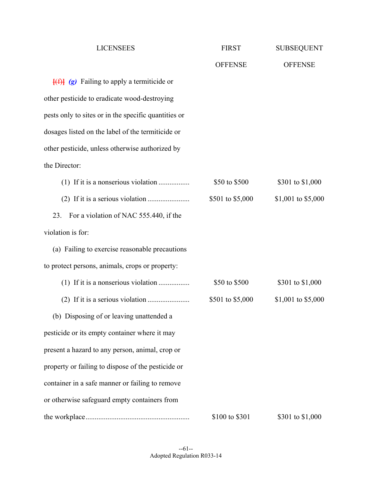| <b>LICENSEES</b>                                                                | <b>FIRST</b>     | <b>SUBSEQUENT</b>  |
|---------------------------------------------------------------------------------|------------------|--------------------|
|                                                                                 | <b>OFFENSE</b>   | <b>OFFENSE</b>     |
| $\left\{\left(\frac{f}{f}\right)\right\}$ (g) Failing to apply a termiticide or |                  |                    |
| other pesticide to eradicate wood-destroying                                    |                  |                    |
| pests only to sites or in the specific quantities or                            |                  |                    |
| dosages listed on the label of the termiticide or                               |                  |                    |
| other pesticide, unless otherwise authorized by                                 |                  |                    |
| the Director:                                                                   |                  |                    |
|                                                                                 | \$50 to \$500    | \$301 to \$1,000   |
|                                                                                 | \$501 to \$5,000 | \$1,001 to \$5,000 |
| For a violation of NAC 555.440, if the<br>23.                                   |                  |                    |
| violation is for:                                                               |                  |                    |
| (a) Failing to exercise reasonable precautions                                  |                  |                    |
| to protect persons, animals, crops or property:                                 |                  |                    |
|                                                                                 | \$50 to \$500    | \$301 to \$1,000   |
|                                                                                 | \$501 to \$5,000 | \$1,001 to \$5,000 |
| (b) Disposing of or leaving unattended a                                        |                  |                    |
| pesticide or its empty container where it may                                   |                  |                    |
| present a hazard to any person, animal, crop or                                 |                  |                    |
| property or failing to dispose of the pesticide or                              |                  |                    |
| container in a safe manner or failing to remove                                 |                  |                    |
| or otherwise safeguard empty containers from                                    |                  |                    |
|                                                                                 | \$100 to \$301   | \$301 to \$1,000   |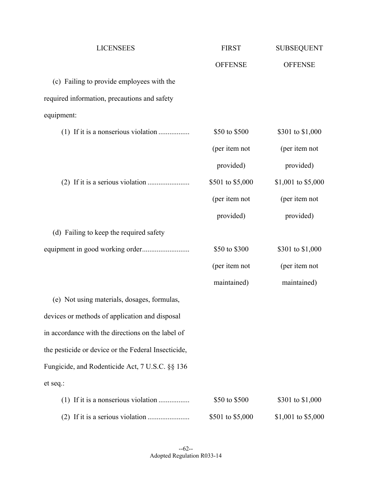| <b>LICENSEES</b>                                    | <b>FIRST</b>     | <b>SUBSEQUENT</b>  |
|-----------------------------------------------------|------------------|--------------------|
|                                                     | <b>OFFENSE</b>   | <b>OFFENSE</b>     |
| (c) Failing to provide employees with the           |                  |                    |
| required information, precautions and safety        |                  |                    |
| equipment:                                          |                  |                    |
|                                                     | \$50 to \$500    | \$301 to \$1,000   |
|                                                     | (per item not    | (per item not      |
|                                                     | provided)        | provided)          |
|                                                     | \$501 to \$5,000 | \$1,001 to \$5,000 |
|                                                     | (per item not    | (per item not      |
|                                                     | provided)        | provided)          |
| (d) Failing to keep the required safety             |                  |                    |
|                                                     | \$50 to \$300    | \$301 to \$1,000   |
|                                                     | (per item not    | (per item not      |
|                                                     | maintained)      | maintained)        |
| (e) Not using materials, dosages, formulas,         |                  |                    |
| devices or methods of application and disposal      |                  |                    |
| in accordance with the directions on the label of   |                  |                    |
| the pesticide or device or the Federal Insecticide, |                  |                    |
| Fungicide, and Rodenticide Act, 7 U.S.C. §§ 136     |                  |                    |
| et seq.:                                            |                  |                    |
|                                                     | \$50 to \$500    | \$301 to \$1,000   |
|                                                     | \$501 to \$5,000 | \$1,001 to \$5,000 |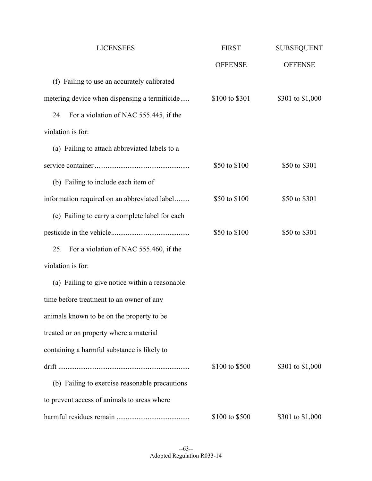| <b>LICENSEES</b>                               | <b>FIRST</b>   | <b>SUBSEQUENT</b> |
|------------------------------------------------|----------------|-------------------|
|                                                | <b>OFFENSE</b> | <b>OFFENSE</b>    |
| (f) Failing to use an accurately calibrated    |                |                   |
| metering device when dispensing a termiticide  | \$100 to \$301 | \$301 to \$1,000  |
| For a violation of NAC 555.445, if the<br>24.  |                |                   |
| violation is for:                              |                |                   |
| (a) Failing to attach abbreviated labels to a  |                |                   |
|                                                | \$50 to \$100  | \$50 to \$301     |
| (b) Failing to include each item of            |                |                   |
| information required on an abbreviated label   | \$50 to \$100  | \$50 to \$301     |
| (c) Failing to carry a complete label for each |                |                   |
|                                                | \$50 to \$100  | \$50 to \$301     |
| 25.<br>For a violation of NAC 555.460, if the  |                |                   |
| violation is for:                              |                |                   |
| (a) Failing to give notice within a reasonable |                |                   |
| time before treatment to an owner of any       |                |                   |
| animals known to be on the property to be      |                |                   |
| treated or on property where a material        |                |                   |
| containing a harmful substance is likely to    |                |                   |
|                                                | \$100 to \$500 | \$301 to \$1,000  |
| (b) Failing to exercise reasonable precautions |                |                   |
| to prevent access of animals to areas where    |                |                   |
|                                                | \$100 to \$500 | \$301 to \$1,000  |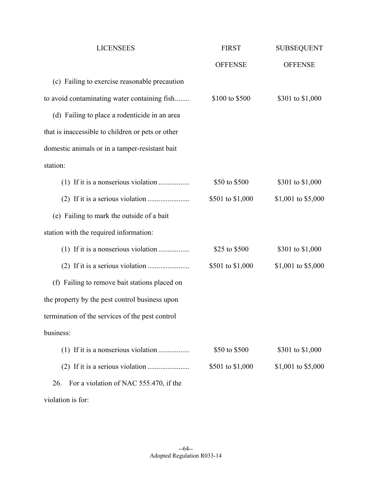| <b>LICENSEES</b>                                  | <b>FIRST</b>     | <b>SUBSEQUENT</b>  |
|---------------------------------------------------|------------------|--------------------|
|                                                   | <b>OFFENSE</b>   | <b>OFFENSE</b>     |
| (c) Failing to exercise reasonable precaution     |                  |                    |
| to avoid contaminating water containing fish      | \$100 to \$500   | \$301 to \$1,000   |
| (d) Failing to place a rodenticide in an area     |                  |                    |
| that is inaccessible to children or pets or other |                  |                    |
| domestic animals or in a tamper-resistant bait    |                  |                    |
| station:                                          |                  |                    |
| (1) If it is a nonserious violation               | \$50 to \$500    | \$301 to \$1,000   |
|                                                   | \$501 to \$1,000 | \$1,001 to \$5,000 |
| (e) Failing to mark the outside of a bait         |                  |                    |
| station with the required information:            |                  |                    |
| (1) If it is a nonserious violation               | \$25 to \$500    | \$301 to \$1,000   |
|                                                   | \$501 to \$1,000 | \$1,001 to \$5,000 |
| (f) Failing to remove bait stations placed on     |                  |                    |
| the property by the pest control business upon    |                  |                    |
| termination of the services of the pest control   |                  |                    |
| business:                                         |                  |                    |
|                                                   | \$50 to \$500    | \$301 to \$1,000   |
|                                                   | \$501 to \$1,000 | \$1,001 to \$5,000 |
| For a violation of NAC 555.470, if the<br>26.     |                  |                    |
|                                                   |                  |                    |

violation is for: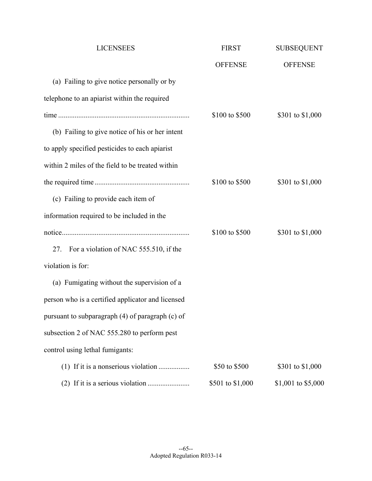| <b>LICENSEES</b>                                  | <b>FIRST</b>     | <b>SUBSEQUENT</b>  |
|---------------------------------------------------|------------------|--------------------|
|                                                   | <b>OFFENSE</b>   | <b>OFFENSE</b>     |
| (a) Failing to give notice personally or by       |                  |                    |
| telephone to an apiarist within the required      |                  |                    |
|                                                   | \$100 to \$500   | \$301 to \$1,000   |
| (b) Failing to give notice of his or her intent   |                  |                    |
| to apply specified pesticides to each apiarist    |                  |                    |
| within 2 miles of the field to be treated within  |                  |                    |
|                                                   | \$100 to \$500   | \$301 to \$1,000   |
| (c) Failing to provide each item of               |                  |                    |
| information required to be included in the        |                  |                    |
|                                                   | \$100 to \$500   | \$301 to \$1,000   |
| 27. For a violation of NAC 555.510, if the        |                  |                    |
| violation is for:                                 |                  |                    |
| (a) Fumigating without the supervision of a       |                  |                    |
| person who is a certified applicator and licensed |                  |                    |
| pursuant to subparagraph (4) of paragraph (c) of  |                  |                    |
| subsection 2 of NAC 555.280 to perform pest       |                  |                    |
| control using lethal fumigants:                   |                  |                    |
| (1) If it is a nonserious violation               | \$50 to \$500    | \$301 to \$1,000   |
|                                                   | \$501 to \$1,000 | \$1,001 to \$5,000 |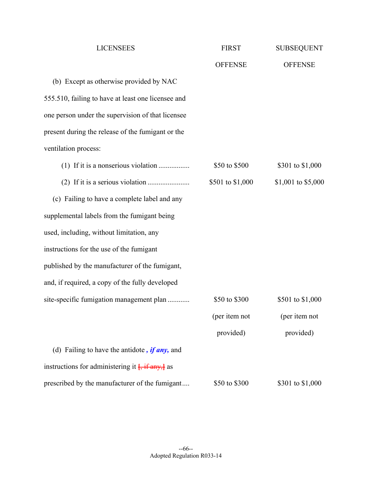| <b>LICENSEES</b>                                           | <b>FIRST</b>     | <b>SUBSEQUENT</b>  |
|------------------------------------------------------------|------------------|--------------------|
|                                                            | <b>OFFENSE</b>   | <b>OFFENSE</b>     |
| (b) Except as otherwise provided by NAC                    |                  |                    |
| 555.510, failing to have at least one licensee and         |                  |                    |
| one person under the supervision of that licensee          |                  |                    |
| present during the release of the fumigant or the          |                  |                    |
| ventilation process:                                       |                  |                    |
|                                                            | \$50 to \$500    | \$301 to \$1,000   |
|                                                            | \$501 to \$1,000 | \$1,001 to \$5,000 |
| (c) Failing to have a complete label and any               |                  |                    |
| supplemental labels from the fumigant being                |                  |                    |
| used, including, without limitation, any                   |                  |                    |
| instructions for the use of the fumigant                   |                  |                    |
| published by the manufacturer of the fumigant,             |                  |                    |
| and, if required, a copy of the fully developed            |                  |                    |
| site-specific fumigation management plan                   | \$50 to \$300    | \$501 to \$1,000   |
|                                                            | (per item not    | (per item not      |
|                                                            | provided)        | provided)          |
| (d) Failing to have the antidote, $if any$ , and           |                  |                    |
| instructions for administering it $\frac{1}{2}$ if any, as |                  |                    |
| prescribed by the manufacturer of the fumigant             | \$50 to \$300    | \$301 to \$1,000   |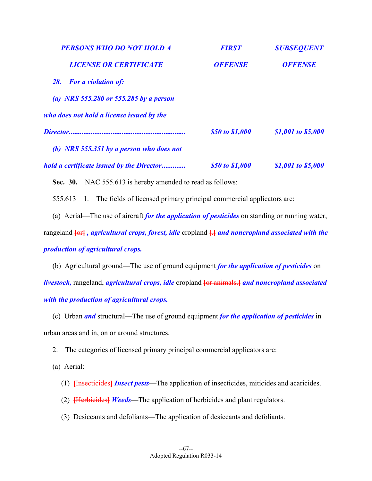| <b>PERSONS WHO DO NOT HOLD A</b>          | <b>FIRST</b>    | <b>SUBSEQUENT</b>  |
|-------------------------------------------|-----------------|--------------------|
| <b>LICENSE OR CERTIFICATE</b>             | <b>OFFENSE</b>  | <b>OFFENSE</b>     |
| <b>For a violation of:</b><br><b>28.</b>  |                 |                    |
| (a) NRS 555.280 or 555.285 by a person    |                 |                    |
| who does not hold a license issued by the |                 |                    |
|                                           | \$50 to \$1,000 | \$1,001 to \$5,000 |
| (b) NRS 555.351 by a person who does not  |                 |                    |
| hold a certificate issued by the Director | \$50 to \$1,000 | \$1,001 to \$5,000 |

Sec. 30. NAC 555.613 is hereby amended to read as follows:

555.613 1. The fields of licensed primary principal commercial applicators are:

 (a) Aerial—The use of aircraft *for the application of pesticides* on standing or running water, rangeland **[**or**]** *, agricultural crops, forest, idle* cropland **[**.**]** *and noncropland associated with the production of agricultural crops.*

 (b) Agricultural ground—The use of ground equipment *for the application of pesticides* on *livestock,* rangeland, *agricultural crops, idle* cropland **[**or animals.**]** *and noncropland associated with the production of agricultural crops.*

 (c) Urban *and* structural—The use of ground equipment *for the application of pesticides* in urban areas and in, on or around structures.

2. The categories of licensed primary principal commercial applicators are:

(a) Aerial:

- (1) **[**Insecticides**]** *Insect pests*—The application of insecticides, miticides and acaricides.
- (2) **[**Herbicides**]** *Weeds*—The application of herbicides and plant regulators.
- (3) Desiccants and defoliants—The application of desiccants and defoliants.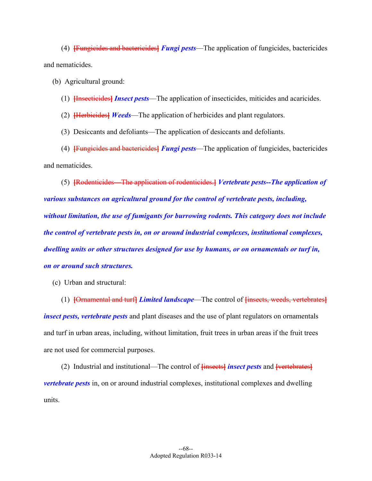(4) **[**Fungicides and bactericides**]** *Fungi pests*—The application of fungicides, bactericides and nematicides.

(b) Agricultural ground:

## (1) **[**Insecticides**]** *Insect pests*—The application of insecticides, miticides and acaricides.

(2) **[**Herbicides**]** *Weeds*—The application of herbicides and plant regulators.

(3) Desiccants and defoliants—The application of desiccants and defoliants.

 (4) **[**Fungicides and bactericides**]** *Fungi pests*—The application of fungicides, bactericides and nematicides.

 (5) **[**Rodenticides—The application of rodenticides.**]** *Vertebrate pests--The application of various substances on agricultural ground for the control of vertebrate pests, including, without limitation, the use of fumigants for burrowing rodents. This category does not include the control of vertebrate pests in, on or around industrial complexes, institutional complexes, dwelling units or other structures designed for use by humans, or on ornamentals or turf in, on or around such structures.*

(c) Urban and structural:

 (1) **[**Ornamental and turf**]** *Limited landscape*—The control of **[**insects, weeds, vertebrates**]** *insect pests, vertebrate pests* and plant diseases and the use of plant regulators on ornamentals and turf in urban areas, including, without limitation, fruit trees in urban areas if the fruit trees are not used for commercial purposes.

 (2) Industrial and institutional—The control of **[**insects**]** *insect pests* and **[**vertebrates**]** *vertebrate pests* in, on or around industrial complexes, institutional complexes and dwelling units.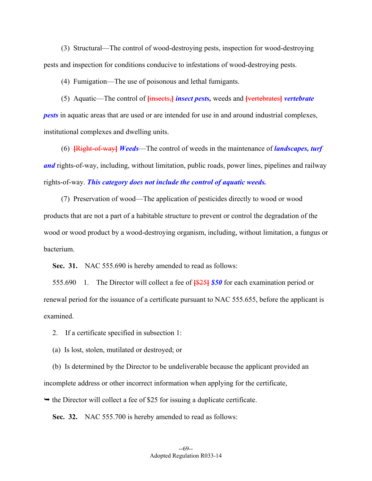(3) Structural—The control of wood-destroying pests, inspection for wood-destroying pests and inspection for conditions conducive to infestations of wood-destroying pests.

(4) Fumigation—The use of poisonous and lethal fumigants.

 (5) Aquatic—The control of **[**insects,**]** *insect pests,* weeds and **[**vertebrates**]** *vertebrate pests* in aquatic areas that are used or are intended for use in and around industrial complexes, institutional complexes and dwelling units.

 (6) **[**Right-of-way**]** *Weeds*—The control of weeds in the maintenance of *landscapes, turf and* rights-of-way, including, without limitation, public roads, power lines, pipelines and railway rights-of-way. *This category does not include the control of aquatic weeds.*

 (7) Preservation of wood—The application of pesticides directly to wood or wood products that are not a part of a habitable structure to prevent or control the degradation of the wood or wood product by a wood-destroying organism, including, without limitation, a fungus or bacterium.

**Sec. 31.** NAC 555.690 is hereby amended to read as follows:

 555.690 1. The Director will collect a fee of **[**\$25**]** *\$50* for each examination period or renewal period for the issuance of a certificate pursuant to NAC 555.655, before the applicant is examined.

2. If a certificate specified in subsection 1:

(a) Is lost, stolen, mutilated or destroyed; or

 (b) Is determined by the Director to be undeliverable because the applicant provided an incomplete address or other incorrect information when applying for the certificate,

 $\rightarrow$  the Director will collect a fee of \$25 for issuing a duplicate certificate.

**Sec. 32.** NAC 555.700 is hereby amended to read as follows: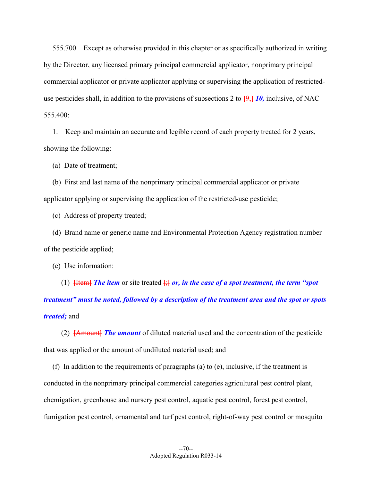555.700 Except as otherwise provided in this chapter or as specifically authorized in writing by the Director, any licensed primary principal commercial applicator, nonprimary principal commercial applicator or private applicator applying or supervising the application of restricteduse pesticides shall, in addition to the provisions of subsections 2 to **[**9,**]** *10,* inclusive, of NAC 555.400:

 1. Keep and maintain an accurate and legible record of each property treated for 2 years, showing the following:

(a) Date of treatment;

 (b) First and last name of the nonprimary principal commercial applicator or private applicator applying or supervising the application of the restricted-use pesticide;

(c) Address of property treated;

 (d) Brand name or generic name and Environmental Protection Agency registration number of the pesticide applied;

(e) Use information:

(1)  $\frac{Htem}{Htem}$  *The item* or site treated  $\frac{H}{H}$  *or, in the case of a spot treatment, the term "spot treatment" must be noted, followed by a description of the treatment area and the spot or spots treated;* and

 (2) **[**Amount**]** *The amount* of diluted material used and the concentration of the pesticide that was applied or the amount of undiluted material used; and

 (f) In addition to the requirements of paragraphs (a) to (e), inclusive, if the treatment is conducted in the nonprimary principal commercial categories agricultural pest control plant, chemigation, greenhouse and nursery pest control, aquatic pest control, forest pest control, fumigation pest control, ornamental and turf pest control, right-of-way pest control or mosquito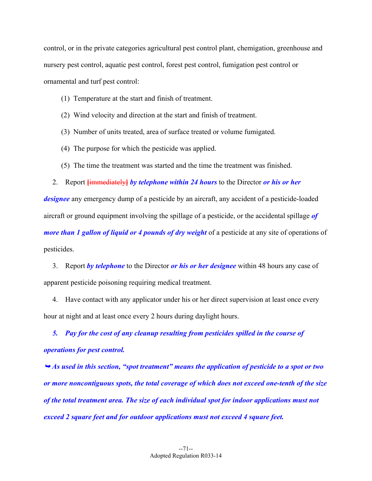control, or in the private categories agricultural pest control plant, chemigation, greenhouse and nursery pest control, aquatic pest control, forest pest control, fumigation pest control or ornamental and turf pest control:

- (1) Temperature at the start and finish of treatment.
- (2) Wind velocity and direction at the start and finish of treatment.
- (3) Number of units treated, area of surface treated or volume fumigated.
- (4) The purpose for which the pesticide was applied.
- (5) The time the treatment was started and the time the treatment was finished.

2. Report **[**immediately**]** *by telephone within 24 hours* to the Director *or his or her* 

*designee* any emergency dump of a pesticide by an aircraft, any accident of a pesticide-loaded aircraft or ground equipment involving the spillage of a pesticide, or the accidental spillage *of more than 1 gallon of liquid or 4 pounds of dry weight* of a pesticide at any site of operations of pesticides.

 3. Report *by telephone* to the Director *or his or her designee* within 48 hours any case of apparent pesticide poisoning requiring medical treatment.

 4. Have contact with any applicator under his or her direct supervision at least once every hour at night and at least once every 2 hours during daylight hours.

 *5. Pay for the cost of any cleanup resulting from pesticides spilled in the course of operations for pest control.* 

 *As used in this section, "spot treatment" means the application of pesticide to a spot or two or more noncontiguous spots, the total coverage of which does not exceed one-tenth of the size of the total treatment area. The size of each individual spot for indoor applications must not exceed 2 square feet and for outdoor applications must not exceed 4 square feet.*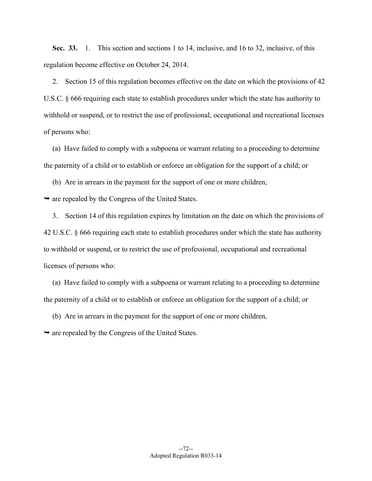**Sec. 33.** 1. This section and sections 1 to 14, inclusive, and 16 to 32, inclusive, of this regulation become effective on October 24, 2014.

 2. Section 15 of this regulation becomes effective on the date on which the provisions of 42 U.S.C. § 666 requiring each state to establish procedures under which the state has authority to withhold or suspend, or to restrict the use of professional, occupational and recreational licenses of persons who:

 (a) Have failed to comply with a subpoena or warrant relating to a proceeding to determine the paternity of a child or to establish or enforce an obligation for the support of a child; or

(b) Are in arrears in the payment for the support of one or more children,

 $\rightarrow$  are repealed by the Congress of the United States.

 3. Section 14 of this regulation expires by limitation on the date on which the provisions of 42 U.S.C. § 666 requiring each state to establish procedures under which the state has authority to withhold or suspend, or to restrict the use of professional, occupational and recreational licenses of persons who:

 (a) Have failed to comply with a subpoena or warrant relating to a proceeding to determine the paternity of a child or to establish or enforce an obligation for the support of a child; or

(b) Are in arrears in the payment for the support of one or more children,

 $\rightarrow$  are repealed by the Congress of the United States.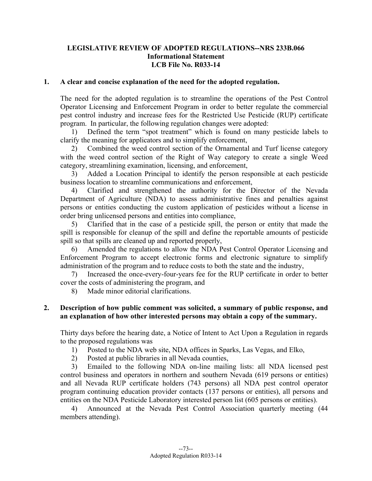## **LEGISLATIVE REVIEW OF ADOPTED REGULATIONS--NRS 233B.066 Informational Statement LCB File No. R033-14**

### **1. A clear and concise explanation of the need for the adopted regulation.**

The need for the adopted regulation is to streamline the operations of the Pest Control Operator Licensing and Enforcement Program in order to better regulate the commercial pest control industry and increase fees for the Restricted Use Pesticide (RUP) certificate program. In particular, the following regulation changes were adopted:

1) Defined the term "spot treatment" which is found on many pesticide labels to clarify the meaning for applicators and to simplify enforcement,

2) Combined the weed control section of the Ornamental and Turf license category with the weed control section of the Right of Way category to create a single Weed category, streamlining examination, licensing, and enforcement,

3) Added a Location Principal to identify the person responsible at each pesticide business location to streamline communications and enforcement,

4) Clarified and strengthened the authority for the Director of the Nevada Department of Agriculture (NDA) to assess administrative fines and penalties against persons or entities conducting the custom application of pesticides without a license in order bring unlicensed persons and entities into compliance,

5) Clarified that in the case of a pesticide spill, the person or entity that made the spill is responsible for cleanup of the spill and define the reportable amounts of pesticide spill so that spills are cleaned up and reported properly,

6) Amended the regulations to allow the NDA Pest Control Operator Licensing and Enforcement Program to accept electronic forms and electronic signature to simplify administration of the program and to reduce costs to both the state and the industry,

7) Increased the once-every-four-years fee for the RUP certificate in order to better cover the costs of administering the program, and

8) Made minor editorial clarifications.

### **2. Description of how public comment was solicited, a summary of public response, and an explanation of how other interested persons may obtain a copy of the summary.**

Thirty days before the hearing date, a Notice of Intent to Act Upon a Regulation in regards to the proposed regulations was

- 1) Posted to the NDA web site, NDA offices in Sparks, Las Vegas, and Elko,
- 2) Posted at public libraries in all Nevada counties,

3) Emailed to the following NDA on-line mailing lists: all NDA licensed pest control business and operators in northern and southern Nevada (619 persons or entities) and all Nevada RUP certificate holders (743 persons) all NDA pest control operator program continuing education provider contacts (137 persons or entities), all persons and entities on the NDA Pesticide Laboratory interested person list (605 persons or entities).

4) Announced at the Nevada Pest Control Association quarterly meeting (44 members attending).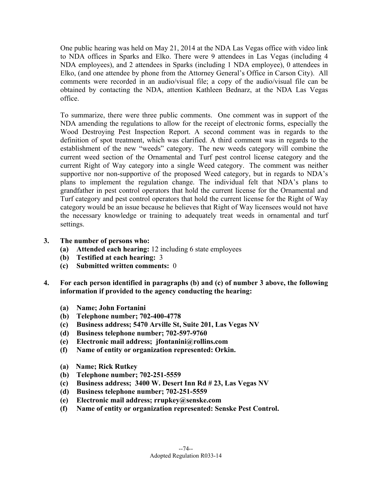One public hearing was held on May 21, 2014 at the NDA Las Vegas office with video link to NDA offices in Sparks and Elko. There were 9 attendees in Las Vegas (including 4 NDA employees), and 2 attendees in Sparks (including 1 NDA employee), 0 attendees in Elko, (and one attendee by phone from the Attorney General's Office in Carson City). All comments were recorded in an audio/visual file; a copy of the audio/visual file can be obtained by contacting the NDA, attention Kathleen Bednarz, at the NDA Las Vegas office.

To summarize, there were three public comments. One comment was in support of the NDA amending the regulations to allow for the receipt of electronic forms, especially the Wood Destroying Pest Inspection Report. A second comment was in regards to the definition of spot treatment, which was clarified. A third comment was in regards to the establishment of the new "weeds" category. The new weeds category will combine the current weed section of the Ornamental and Turf pest control license category and the current Right of Way category into a single Weed category. The comment was neither supportive nor non-supportive of the proposed Weed category, but in regards to NDA's plans to implement the regulation change. The individual felt that NDA's plans to grandfather in pest control operators that hold the current license for the Ornamental and Turf category and pest control operators that hold the current license for the Right of Way category would be an issue because he believes that Right of Way licensees would not have the necessary knowledge or training to adequately treat weeds in ornamental and turf settings.

- **3. The number of persons who:**
	- **(a) Attended each hearing:** 12 including 6 state employees
	- **(b) Testified at each hearing:** 3
	- **(c) Submitted written comments:** 0
- **4. For each person identified in paragraphs (b) and (c) of number 3 above, the following information if provided to the agency conducting the hearing:** 
	- **(a) Name; John Fortanini**
	- **(b) Telephone number; 702-400-4778**
	- **(c) Business address; 5470 Arville St, Suite 201, Las Vegas NV**
	- **(d) Business telephone number; 702-597-9760**
	- **(e) Electronic mail address; jfontanini@rollins.com**
	- **(f) Name of entity or organization represented: Orkin.**
	- **(a) Name; Rick Rutkey**
	- **(b) Telephone number; 702-251-5559**
	- **(c) Business address; 3400 W. Desert Inn Rd # 23, Las Vegas NV**
	- **(d) Business telephone number; 702-251-5559**
	- **(e) Electronic mail address; rrupkey@senske.com**
	- **(f) Name of entity or organization represented: Senske Pest Control.**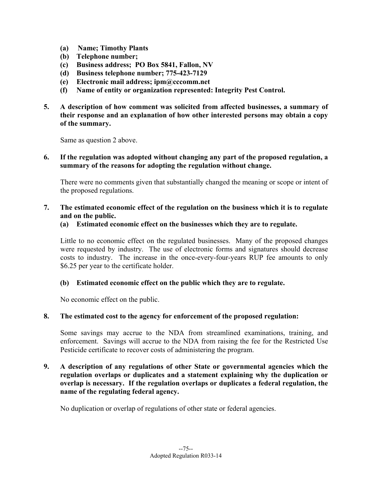- **(a) Name; Timothy Plants**
- **(b) Telephone number;**
- **(c) Business address; PO Box 5841, Fallon, NV**
- **(d) Business telephone number; 775-423-7129**
- **(e) Electronic mail address; ipm@cccomm.net**
- **(f) Name of entity or organization represented: Integrity Pest Control.**
- **5. A description of how comment was solicited from affected businesses, a summary of their response and an explanation of how other interested persons may obtain a copy of the summary.**

Same as question 2 above.

## **6. If the regulation was adopted without changing any part of the proposed regulation, a summary of the reasons for adopting the regulation without change.**

There were no comments given that substantially changed the meaning or scope or intent of the proposed regulations.

**7. The estimated economic effect of the regulation on the business which it is to regulate and on the public.** 

### **(a) Estimated economic effect on the businesses which they are to regulate.**

Little to no economic effect on the regulated businesses. Many of the proposed changes were requested by industry. The use of electronic forms and signatures should decrease costs to industry. The increase in the once-every-four-years RUP fee amounts to only \$6.25 per year to the certificate holder.

### **(b) Estimated economic effect on the public which they are to regulate.**

No economic effect on the public.

### **8. The estimated cost to the agency for enforcement of the proposed regulation:**

Some savings may accrue to the NDA from streamlined examinations, training, and enforcement. Savings will accrue to the NDA from raising the fee for the Restricted Use Pesticide certificate to recover costs of administering the program.

# **9. A description of any regulations of other State or governmental agencies which the regulation overlaps or duplicates and a statement explaining why the duplication or overlap is necessary. If the regulation overlaps or duplicates a federal regulation, the name of the regulating federal agency.**

No duplication or overlap of regulations of other state or federal agencies.